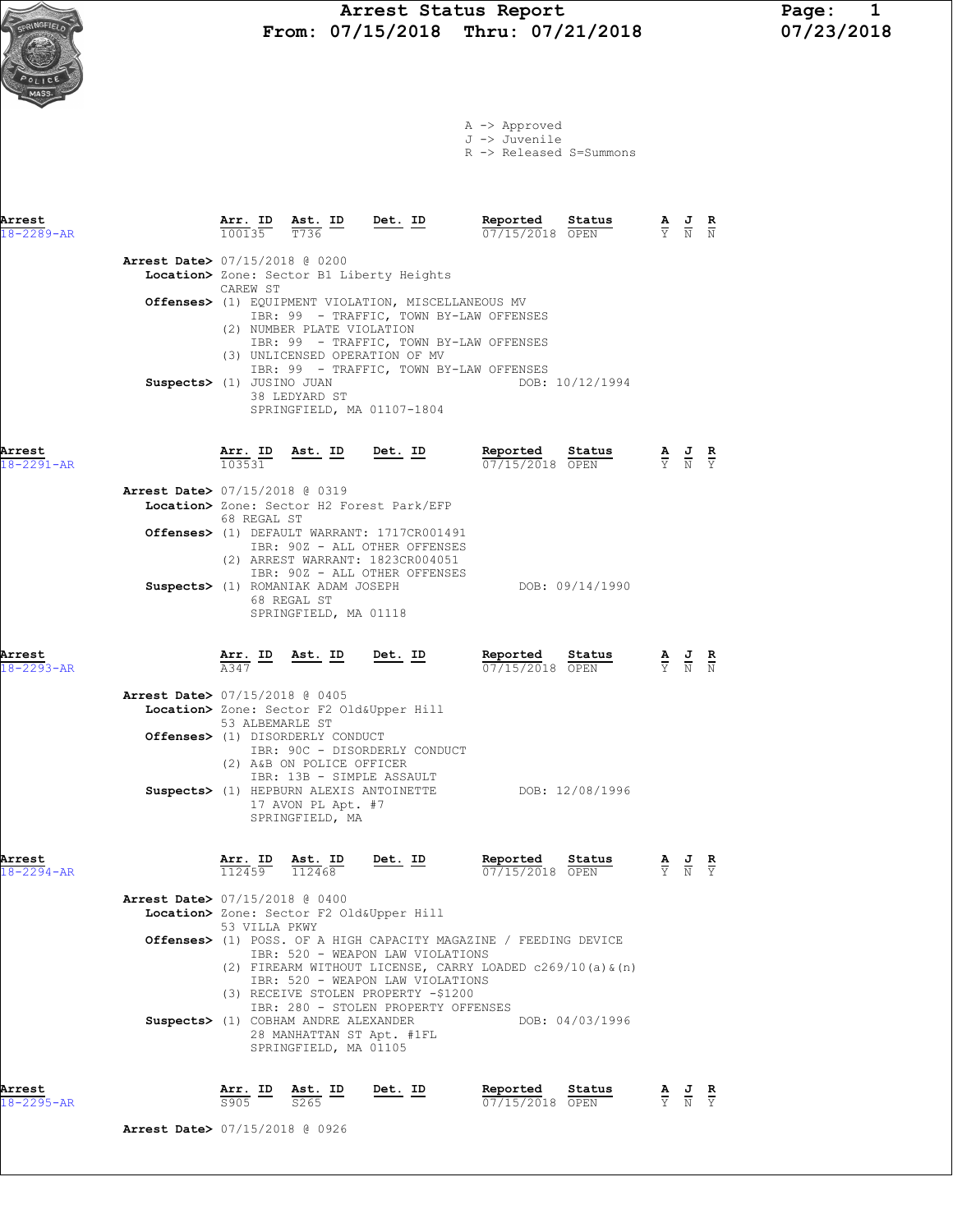

A -> Approved J -> Juvenile R -> Released S=Summons

| Arrest<br>$18 - 2289 - AR$                                             | 100135                                | $\frac{\text{Arr. ID}}{100125}$ $\frac{\text{Ast. ID}}{\pi 736}$ Det. ID<br>T736                                                      |                                                                                                                                                                                                                                                                     | Reported<br>07/15/2018 OPEN                                                                                                    | Status                    |                                                                                                       |  |
|------------------------------------------------------------------------|---------------------------------------|---------------------------------------------------------------------------------------------------------------------------------------|---------------------------------------------------------------------------------------------------------------------------------------------------------------------------------------------------------------------------------------------------------------------|--------------------------------------------------------------------------------------------------------------------------------|---------------------------|-------------------------------------------------------------------------------------------------------|--|
| <b>Arrest Date&gt; 07/15/2018 @ 0200</b>                               | CAREW ST<br>Suspects> (1) JUSINO JUAN | (2) NUMBER PLATE VIOLATION<br>38 LEDYARD ST                                                                                           | Location> Zone: Sector B1 Liberty Heights<br>Offenses> (1) EQUIPMENT VIOLATION, MISCELLANEOUS MV<br>IBR: 99 - TRAFFIC, TOWN BY-LAW OFFENSES<br>IBR: 99 - TRAFFIC, TOWN BY-LAW OFFENSES<br>(3) UNLICENSED OPERATION OF MV<br>IBR: 99 - TRAFFIC, TOWN BY-LAW OFFENSES |                                                                                                                                | DOB: 10/12/1994           |                                                                                                       |  |
| Arrest<br>$18 - 2291 - AR$                                             | 103531                                | <u>Arr. ID Ast. ID Det. ID</u>                                                                                                        | SPRINGFIELD, MA 01107-1804                                                                                                                                                                                                                                          | Reported<br>07/15/2018 OPEN                                                                                                    | Status                    | $\frac{\mathbf{A}}{\overline{Y}}$ $\frac{\mathbf{J}}{\overline{N}}$ $\frac{\mathbf{R}}{\overline{Y}}$ |  |
| Arrest Date> 07/15/2018 @ 0319                                         | 68 REGAL ST                           |                                                                                                                                       | Location> Zone: Sector H2 Forest Park/EFP<br>Offenses> (1) DEFAULT WARRANT: 1717CR001491<br>IBR: 90Z - ALL OTHER OFFENSES<br>(2) ARREST WARRANT: 1823CR004051<br>IBR: 90Z - ALL OTHER OFFENSES                                                                      |                                                                                                                                |                           |                                                                                                       |  |
| Arrest                                                                 |                                       | 68 REGAL ST<br>SPRINGFIELD, MA 01118                                                                                                  | Suspects> (1) ROMANIAK ADAM JOSEPH<br>Arr. ID Ast. ID Det. ID                                                                                                                                                                                                       | Reported                                                                                                                       | DOB: 09/14/1990<br>Status |                                                                                                       |  |
| $18 - 2293 - AR$<br><b>Arrest Date&gt; 07/15/2018 @ 0405</b>           | A347<br>53 ALBEMARLE ST               | Offenses> (1) DISORDERLY CONDUCT<br>(2) A&B ON POLICE OFFICER<br>IBR: 13B - SIMPLE ASSAULT<br>Suspects> (1) HEPBURN ALEXIS ANTOINETTE | Location> Zone: Sector F2 Old&Upper Hill<br>IBR: 90C - DISORDERLY CONDUCT                                                                                                                                                                                           | 07/15/2018 OPEN                                                                                                                | DOB: 12/08/1996           |                                                                                                       |  |
| Arrest<br>$18 - 2294 - AR$<br><b>Arrest Date&gt;</b> 07/15/2018 @ 0400 |                                       | 17 AVON PL Apt. #7<br>SPRINGFIELD, MA<br>$\frac{\text{Arr. ID}}{112459}$ $\frac{\text{Ast. ID}}{112468}$                              | Det. ID                                                                                                                                                                                                                                                             | Reported<br>07/15/2018 OPEN                                                                                                    | Status                    |                                                                                                       |  |
|                                                                        | 53 VILLA PKWY                         | Suspects> (1) COBHAM ANDRE ALEXANDER<br>28 MANHATTAN ST Apt. #1FL<br>SPRINGFIELD, MA 01105                                            | Location> Zone: Sector F2 Old&Upper Hill<br>IBR: 520 - WEAPON LAW VIOLATIONS<br>IBR: 520 - WEAPON LAW VIOLATIONS<br>(3) RECEIVE STOLEN PROPERTY -\$1200<br>IBR: 280 - STOLEN PROPERTY OFFENSES                                                                      | Offenses> (1) POSS. OF A HIGH CAPACITY MAGAZINE / FEEDING DEVICE<br>(2) FIREARM WITHOUT LICENSE, CARRY LOADED c269/10(a) & (n) | DOB: 04/03/1996           |                                                                                                       |  |

Arrest Arr. ID Ast. ID Det. ID Reported Status A J R 18-2295-AR S905 S265 07/15/2018 OPEN Y N Y

Arrest Date> 07/15/2018 @ 0926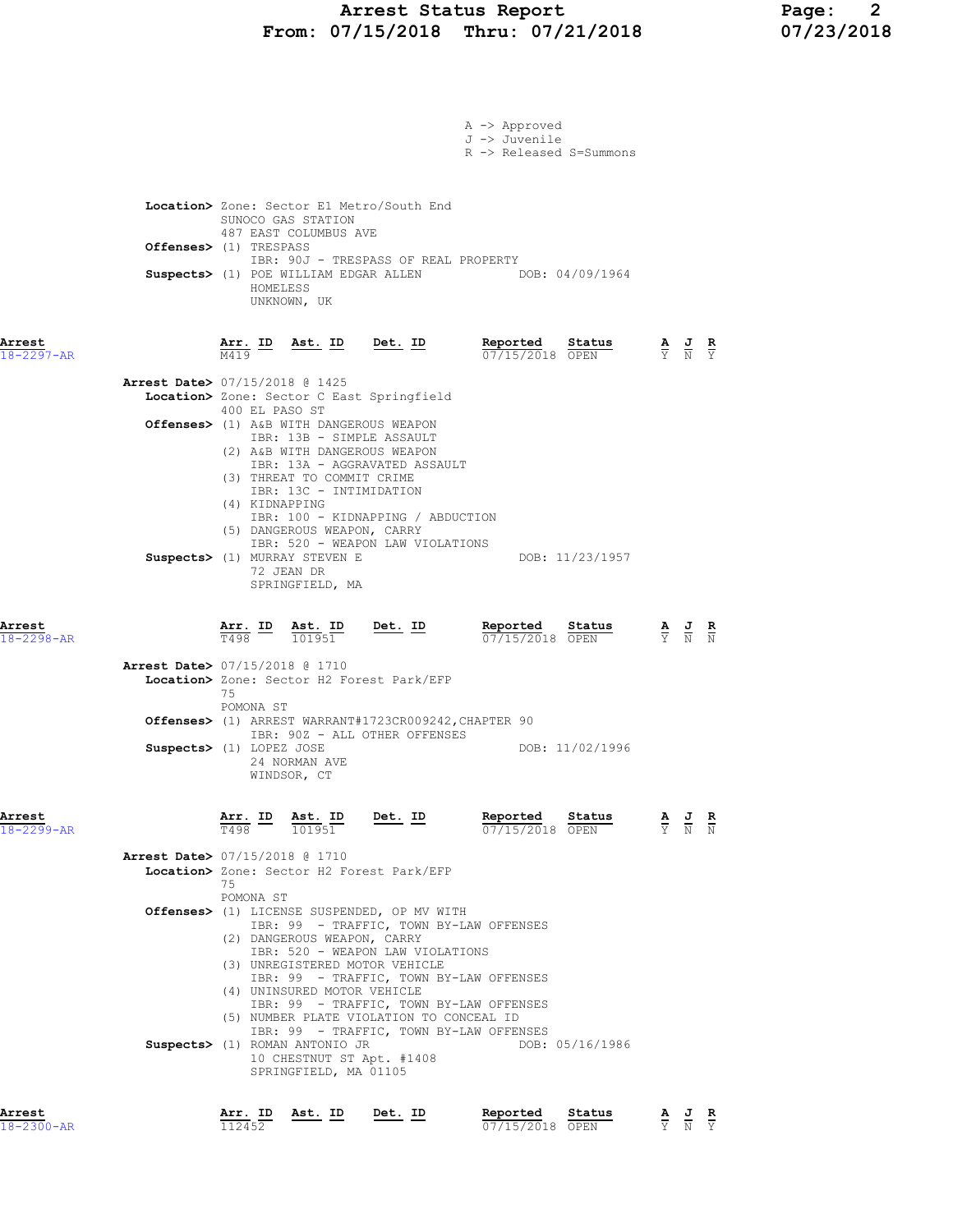### Arrest Status Report Page: 2 From: 07/15/2018 Thru: 07/21/2018 07/23/2018

|                            |                                          |                                                                                                                           |                                                                                                                               |                                                                                                                                                                                             | $A \rightarrow$ Approved<br>J -> Juvenile<br>R -> Released S=Summons |                 |                                                                                                 |  |
|----------------------------|------------------------------------------|---------------------------------------------------------------------------------------------------------------------------|-------------------------------------------------------------------------------------------------------------------------------|---------------------------------------------------------------------------------------------------------------------------------------------------------------------------------------------|----------------------------------------------------------------------|-----------------|-------------------------------------------------------------------------------------------------|--|
|                            | Offenses> (1) TRESPASS                   | HOMELESS                                                                                                                  | SUNOCO GAS STATION<br>487 EAST COLUMBUS AVE<br>UNKNOWN, UK                                                                    | Location> Zone: Sector E1 Metro/South End<br>IBR: 90J - TRESPASS OF REAL PROPERTY                                                                                                           | Suspects> (1) POE WILLIAM EDGAR ALLEN DOB: 04/09/1964                |                 |                                                                                                 |  |
| Arrest<br>18-2297-AR       |                                          | Arr. ID<br>M419                                                                                                           | <u>Ast. ID</u>                                                                                                                | Det. ID                                                                                                                                                                                     | Reported<br>07/15/2018 OPEN                                          | Status          | $\frac{\mathbf{A}}{\mathbf{Y}}$ $\frac{\mathbf{J}}{\mathbf{N}}$ $\frac{\mathbf{R}}{\mathbf{Y}}$ |  |
|                            | Arrest Date> 07/15/2018 @ 1425           | 400 EL PASO ST<br>(4) KIDNAPPING                                                                                          | IBR: 13B - SIMPLE ASSAULT<br>(3) THREAT TO COMMIT CRIME<br>IBR: 13C - INTIMIDATION                                            | Location> Zone: Sector C East Springfield<br>Offenses> (1) A&B WITH DANGEROUS WEAPON<br>(2) A&B WITH DANGEROUS WEAPON<br>IBR: 13A - AGGRAVATED ASSAULT<br>IBR: 100 - KIDNAPPING / ABDUCTION |                                                                      |                 |                                                                                                 |  |
|                            |                                          |                                                                                                                           | (5) DANGEROUS WEAPON, CARRY<br>Suspects> (1) MURRAY STEVEN E<br>72 JEAN DR<br>SPRINGFIELD, MA                                 | IBR: 520 - WEAPON LAW VIOLATIONS                                                                                                                                                            |                                                                      | DOB: 11/23/1957 |                                                                                                 |  |
| Arrest<br>$18 - 2298 - AR$ |                                          | Arr. ID<br>T498                                                                                                           | Ast. ID<br>101951                                                                                                             | <u>Det. ID</u>                                                                                                                                                                              | Reported<br>07/15/2018 OPEN                                          | Status          | $\frac{\mathbf{A}}{\mathbf{Y}}$ $\frac{\mathbf{J}}{\mathbf{N}}$                                 |  |
|                            | Arrest Date> 07/15/2018 @ 1710           | 75<br>POMONA ST                                                                                                           |                                                                                                                               | Location> Zone: Sector H2 Forest Park/EFP<br>Offenses> (1) ARREST WARRANT#1723CR009242, CHAPTER 90<br>IBR: 90Z - ALL OTHER OFFENSES                                                         |                                                                      |                 |                                                                                                 |  |
|                            | Suspects> (1) LOPEZ JOSE                 |                                                                                                                           | 24 NORMAN AVE<br>WINDSOR, CT                                                                                                  |                                                                                                                                                                                             |                                                                      | DOB: 11/02/1996 |                                                                                                 |  |
| Arrest<br>$18 - 2299 - AR$ |                                          | Arr. ID<br>T498 and the set of the set of the set of the set of the set of the set of the set of the set of the set of th | Ast. ID<br>101951                                                                                                             | Det. ID                                                                                                                                                                                     | Reported<br>07/15/2018 OPEN                                          | Status          | $\frac{\mathbf{A}}{\mathbf{Y}}$ $\frac{\mathbf{J}}{\mathbf{N}}$ $\frac{\mathbf{R}}{\mathbf{N}}$ |  |
|                            | <b>Arrest Date&gt;</b> 07/15/2018 @ 1710 | 75                                                                                                                        |                                                                                                                               | Location> Zone: Sector H2 Forest Park/EFP                                                                                                                                                   |                                                                      |                 |                                                                                                 |  |
|                            |                                          | POMONA ST                                                                                                                 | (2) DANGEROUS WEAPON, CARRY                                                                                                   | Offenses> (1) LICENSE SUSPENDED, OP MV WITH<br>IBR: 99 - TRAFFIC, TOWN BY-LAW OFFENSES<br>IBR: 520 - WEAPON LAW VIOLATIONS<br>(3) UNREGISTERED MOTOR VEHICLE                                |                                                                      |                 |                                                                                                 |  |
|                            |                                          |                                                                                                                           | (4) UNINSURED MOTOR VEHICLE<br><b>Suspects&gt;</b> (1) ROMAN ANTONIO JR<br>10 CHESTNUT ST Apt. #1408<br>SPRINGFIELD, MA 01105 | IBR: 99 - TRAFFIC, TOWN BY-LAW OFFENSES<br>IBR: 99 - TRAFFIC, TOWN BY-LAW OFFENSES<br>(5) NUMBER PLATE VIOLATION TO CONCEAL ID<br>IBR: 99 - TRAFFIC, TOWN BY-LAW OFFENSES                   |                                                                      | DOB: 05/16/1986 |                                                                                                 |  |
| Arrest                     |                                          |                                                                                                                           | Arr. ID Ast. ID                                                                                                               | Det. ID                                                                                                                                                                                     | Reported                                                             | Status          | $\underline{A}$ $\underline{J}$ R                                                               |  |

18-2300-AR 112452 07/15/2018 OPEN Y N Y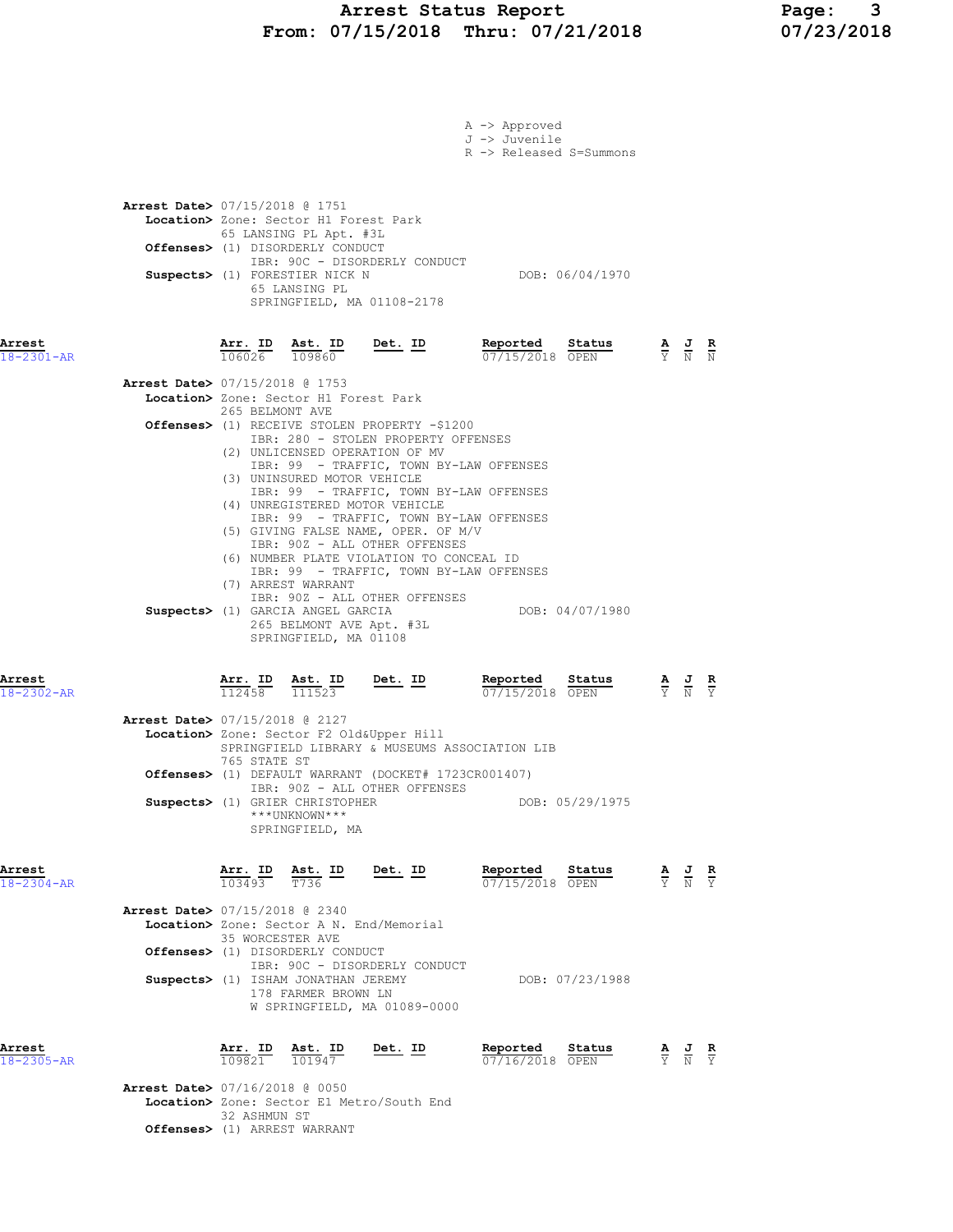# Arrest Status Report 1994 Page: 2011/2018 Page: 3<br>07/15/2018 Thru: 07/21/2018 107/23/2018 From: 07/15/2018 Thru: 07/21/2018

|                            |                                          |                                                |                                                                                                |                                                                                                                                                                                                                                          | A -> Approved<br>J -> Juvenile     |                 |                                                                                                 |  |
|----------------------------|------------------------------------------|------------------------------------------------|------------------------------------------------------------------------------------------------|------------------------------------------------------------------------------------------------------------------------------------------------------------------------------------------------------------------------------------------|------------------------------------|-----------------|-------------------------------------------------------------------------------------------------|--|
|                            |                                          |                                                |                                                                                                |                                                                                                                                                                                                                                          | R -> Released S=Summons            |                 |                                                                                                 |  |
|                            | <b>Arrest Date&gt; 07/15/2018 @ 1751</b> |                                                | Location> Zone: Sector H1 Forest Park<br>65 LANSING PL Apt. #3L                                |                                                                                                                                                                                                                                          |                                    |                 |                                                                                                 |  |
|                            |                                          |                                                | Offenses> (1) DISORDERLY CONDUCT<br>Suspects> (1) FORESTIER NICK N<br>65 LANSING PL            | IBR: 90C - DISORDERLY CONDUCT<br>SPRINGFIELD, MA 01108-2178                                                                                                                                                                              |                                    | DOB: 06/04/1970 |                                                                                                 |  |
| Arrest<br>18-2301-AR       |                                          |                                                |                                                                                                | $\frac{\texttt{Arr. ID}}{106026}$ $\frac{\texttt{ Ast. ID}}{109860}$ Det. ID                                                                                                                                                             | Reported Status<br>07/15/2018 OPEN |                 | $\frac{\mathbf{A}}{\mathbf{Y}}$ $\frac{\mathbf{J}}{\mathbf{N}}$ $\frac{\mathbf{R}}{\mathbf{N}}$ |  |
|                            | <b>Arrest Date&gt; 07/15/2018 @ 1753</b> | 265 BELMONT AVE                                | Location> Zone: Sector H1 Forest Park                                                          | Offenses> (1) RECEIVE STOLEN PROPERTY -\$1200<br>IBR: 280 - STOLEN PROPERTY OFFENSES                                                                                                                                                     |                                    |                 |                                                                                                 |  |
|                            |                                          |                                                | (3) UNINSURED MOTOR VEHICLE                                                                    | (2) UNLICENSED OPERATION OF MV<br>IBR: 99 - TRAFFIC, TOWN BY-LAW OFFENSES<br>IBR: 99 - TRAFFIC, TOWN BY-LAW OFFENSES<br>(4) UNREGISTERED MOTOR VEHICLE<br>IBR: 99 - TRAFFIC, TOWN BY-LAW OFFENSES<br>(5) GIVING FALSE NAME, OPER. OF M/V |                                    |                 |                                                                                                 |  |
|                            |                                          |                                                | (7) ARREST WARRANT                                                                             | IBR: 90Z - ALL OTHER OFFENSES<br>(6) NUMBER PLATE VIOLATION TO CONCEAL ID<br>IBR: 99 - TRAFFIC, TOWN BY-LAW OFFENSES<br>IBR: 90Z - ALL OTHER OFFENSES<br>Suspects> (1) GARCIA ANGEL GARCIA                                               |                                    | DOB: 04/07/1980 |                                                                                                 |  |
|                            |                                          |                                                | 265 BELMONT AVE Apt. #3L<br>SPRINGFIELD, MA 01108                                              |                                                                                                                                                                                                                                          |                                    |                 |                                                                                                 |  |
| Arrest<br>18-2302-AR       |                                          | <u>Arr. ID</u><br>112458                       | Ast. ID<br>111523                                                                              | $Det. ID$                                                                                                                                                                                                                                | Reported Status<br>07/15/2018 OPEN |                 | $\frac{\mathbf{A}}{\mathbf{Y}}$ $\frac{\mathbf{J}}{\mathbf{N}}$ $\frac{\mathbf{R}}{\mathbf{Y}}$ |  |
|                            | Arrest Date> 07/15/2018 @ 2127           | 765 STATE ST                                   |                                                                                                | Location> Zone: Sector F2 Old&Upper Hill<br>SPRINGFIELD LIBRARY & MUSEUMS ASSOCIATION LIB                                                                                                                                                |                                    |                 |                                                                                                 |  |
|                            |                                          |                                                | Suspects> (1) GRIER CHRISTOPHER                                                                | <b>Offenses&gt;</b> (1) DEFAULT WARRANT (DOCKET# 1723CR001407)<br>IBR: 90Z - ALL OTHER OFFENSES                                                                                                                                          |                                    | DOB: 05/29/1975 |                                                                                                 |  |
|                            |                                          |                                                | ***UNKNOWN***<br>SPRINGFIELD, MA                                                               |                                                                                                                                                                                                                                          |                                    |                 |                                                                                                 |  |
| Arrest<br>$18 - 2304 - AR$ |                                          | <b>Arr. ID Ast. ID</b> $\frac{103493}{103493}$ |                                                                                                | <u>Det.</u> ID                                                                                                                                                                                                                           | Reported<br>07/15/2018 OPEN        | Status          | $\frac{\mathbf{A}}{\mathbf{Y}}$ $\frac{\mathbf{J}}{\mathbf{N}}$ $\frac{\mathbf{R}}{\mathbf{Y}}$ |  |
|                            | <b>Arrest Date&gt; 07/15/2018 @ 2340</b> | 35 WORCESTER AVE                               |                                                                                                | Location> Zone: Sector A N. End/Memorial                                                                                                                                                                                                 |                                    |                 |                                                                                                 |  |
|                            |                                          |                                                | Offenses> (1) DISORDERLY CONDUCT<br>Suspects> (1) ISHAM JONATHAN JEREMY<br>178 FARMER BROWN LN | IBR: 90C - DISORDERLY CONDUCT<br>W SPRINGFIELD, MA 01089-0000                                                                                                                                                                            |                                    | DOB: 07/23/1988 |                                                                                                 |  |
| Arrest<br>18-2305-AR       |                                          | Arr. ID<br>109821                              | Ast. ID<br>101947                                                                              | <u>Det. ID</u>                                                                                                                                                                                                                           | Reported<br>07/16/2018 OPEN        | Status          | $\frac{\mathbf{A}}{\mathbf{Y}}$ $\frac{\mathbf{J}}{\mathbf{N}}$ $\frac{\mathbf{R}}{\mathbf{Y}}$ |  |
|                            | Arrest Date> 07/16/2018 @ 0050           |                                                |                                                                                                | Location> Zone: Sector E1 Metro/South End                                                                                                                                                                                                |                                    |                 |                                                                                                 |  |

 32 ASHMUN ST Offenses> (1) ARREST WARRANT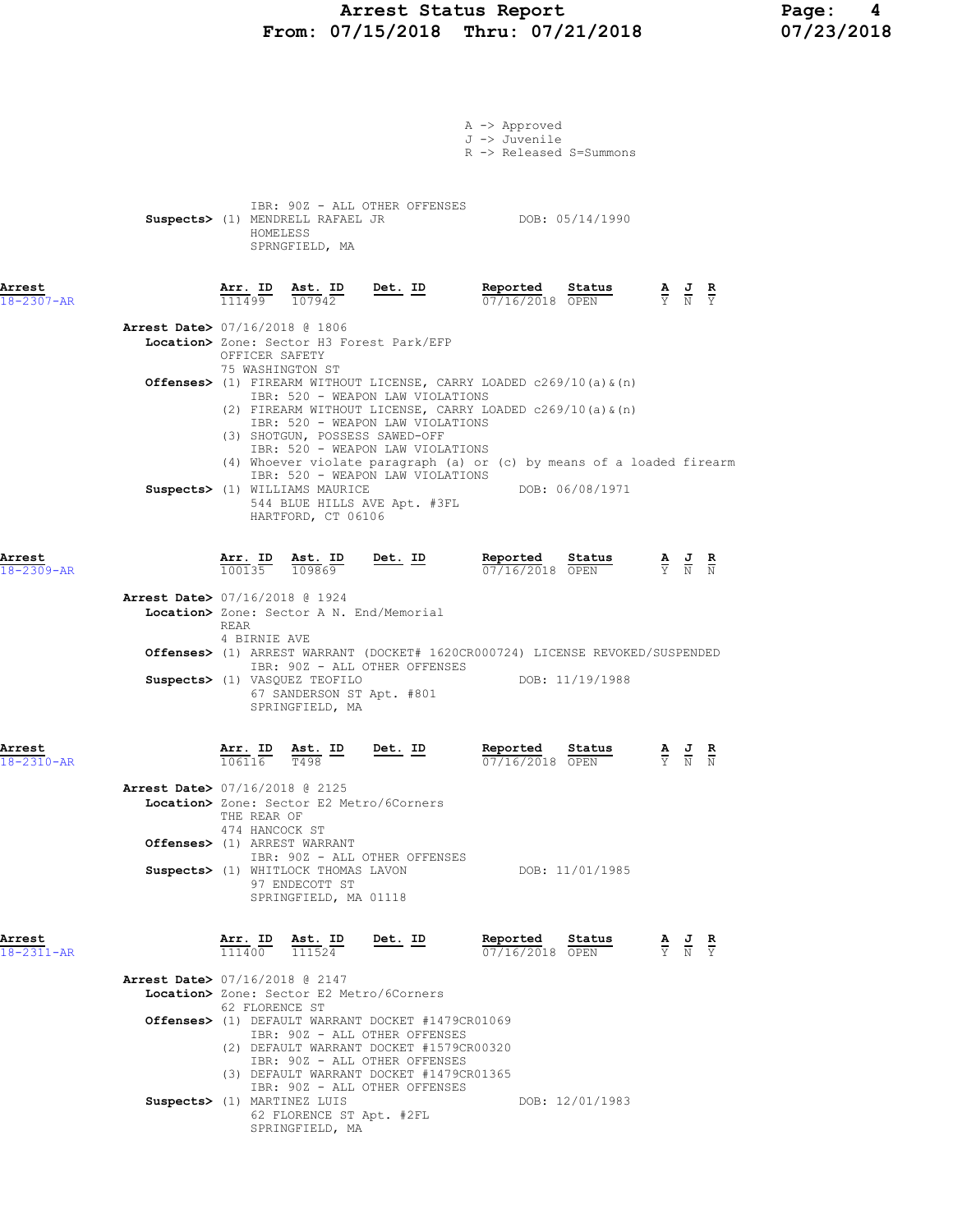# Arrest Status Report Page: 4 From: 07/15/2018 Thru: 07/21/2018

|                            |                                          |                                                                 |                                                                                                                |                                                                                                                                                      | A -> Approved<br>J -> Juvenile<br>R -> Released S=Summons                                                                                              |                 |                                                                                                 |                                                                                                       |  |
|----------------------------|------------------------------------------|-----------------------------------------------------------------|----------------------------------------------------------------------------------------------------------------|------------------------------------------------------------------------------------------------------------------------------------------------------|--------------------------------------------------------------------------------------------------------------------------------------------------------|-----------------|-------------------------------------------------------------------------------------------------|-------------------------------------------------------------------------------------------------------|--|
|                            |                                          | HOMELESS                                                        | SPRNGFIELD, MA                                                                                                 | IBR: 90Z - ALL OTHER OFFENSES<br>Suspects> (1) MENDRELL RAFAEL JR                                                                                    |                                                                                                                                                        | DOB: 05/14/1990 |                                                                                                 |                                                                                                       |  |
| Arrest<br>18-2307-AR       |                                          |                                                                 | Arr. ID Ast. ID<br>$\overline{111499}$ $\overline{107942}$                                                     | <u>Det.</u> ID                                                                                                                                       | Reported<br>07/16/2018 OPEN                                                                                                                            | Status          | $\frac{\mathbf{A}}{\mathbf{Y}}$ $\frac{\mathbf{J}}{\mathbf{N}}$ $\frac{\mathbf{R}}{\mathbf{Y}}$ |                                                                                                       |  |
|                            | <b>Arrest Date&gt; 07/16/2018 @ 1806</b> | OFFICER SAFETY                                                  |                                                                                                                | Location> Zone: Sector H3 Forest Park/EFP                                                                                                            |                                                                                                                                                        |                 |                                                                                                 |                                                                                                       |  |
|                            |                                          | 75 WASHINGTON ST                                                |                                                                                                                | IBR: 520 - WEAPON LAW VIOLATIONS                                                                                                                     | <b>Offenses&gt;</b> (1) FIREARM WITHOUT LICENSE, CARRY LOADED $c269/10$ (a) $\alpha$ (n)<br>(2) FIREARM WITHOUT LICENSE, CARRY LOADED c269/10(a) & (n) |                 |                                                                                                 |                                                                                                       |  |
|                            |                                          |                                                                 | (3) SHOTGUN, POSSESS SAWED-OFF                                                                                 | IBR: 520 - WEAPON LAW VIOLATIONS<br>IBR: 520 - WEAPON LAW VIOLATIONS<br>IBR: 520 - WEAPON LAW VIOLATIONS                                             | (4) Whoever violate paragraph (a) or (c) by means of a loaded firearm                                                                                  |                 |                                                                                                 |                                                                                                       |  |
|                            |                                          |                                                                 | Suspects> (1) WILLIAMS MAURICE<br>HARTFORD, CT 06106                                                           | 544 BLUE HILLS AVE Apt. #3FL                                                                                                                         | DOB: 06/08/1971                                                                                                                                        |                 |                                                                                                 |                                                                                                       |  |
| Arrest<br>18-2309-AR       |                                          |                                                                 | $\frac{\texttt{Arr.}}{100135}$ $\frac{\texttt{ Ast.}}{109869}$                                                 | $Det. ID$                                                                                                                                            | Reported<br>$07/16/2018$ OPEN                                                                                                                          | Status          | $\frac{\mathbf{A}}{\mathbf{Y}}$ $\frac{\mathbf{J}}{\mathbf{N}}$ $\frac{\mathbf{R}}{\mathbf{N}}$ |                                                                                                       |  |
|                            | Arrest Date> 07/16/2018 @ 1924           | REAR                                                            | Location> Zone: Sector A N. End/Memorial                                                                       |                                                                                                                                                      |                                                                                                                                                        |                 |                                                                                                 |                                                                                                       |  |
|                            |                                          | 4 BIRNIE AVE                                                    | Suspects> (1) VASQUEZ TEOFILO<br>67 SANDERSON ST Apt. #801<br>SPRINGFIELD, MA                                  | IBR: 90Z - ALL OTHER OFFENSES                                                                                                                        | Offenses> (1) ARREST WARRANT (DOCKET# 1620CR000724) LICENSE REVOKED/SUSPENDED                                                                          | DOB: 11/19/1988 |                                                                                                 |                                                                                                       |  |
| Arrest<br>18-2310-AR       |                                          | <u>Arr.</u> ID<br>106116                                        | <u>Ast. ID</u><br><b>T498</b>                                                                                  | Det. ID                                                                                                                                              | Reported<br>07/16/2018 OPEN                                                                                                                            | Status          |                                                                                                 | $\frac{\mathbf{A}}{\mathbf{Y}}$ $\frac{\mathbf{J}}{\mathbf{N}}$ $\frac{\mathbf{R}}{\mathbf{N}}$       |  |
|                            | Arrest Date> 07/16/2018 @ 2125           | THE REAR OF<br>474 HANCOCK ST                                   | Location> Zone: Sector E2 Metro/6Corners                                                                       |                                                                                                                                                      |                                                                                                                                                        |                 |                                                                                                 |                                                                                                       |  |
|                            |                                          |                                                                 | Offenses> (1) ARREST WARRANT<br>Suspects> (1) WHITLOCK THOMAS LAVON<br>97 ENDECOTT ST<br>SPRINGFIELD, MA 01118 | IBR: 90Z - ALL OTHER OFFENSES                                                                                                                        |                                                                                                                                                        | DOB: 11/01/1985 |                                                                                                 |                                                                                                       |  |
| Arrest<br>$18 - 2311 - AR$ |                                          | $\frac{\text{Arr. ID}}{111400}$ $\frac{\text{Ast. ID}}{111524}$ |                                                                                                                | Det. ID                                                                                                                                              | Reported<br>07/16/2018 OPEN                                                                                                                            | Status          |                                                                                                 | $\frac{\mathbf{A}}{\overline{Y}}$ $\frac{\mathbf{J}}{\overline{N}}$ $\frac{\mathbf{R}}{\overline{Y}}$ |  |
|                            | Arrest Date> 07/16/2018 @ 2147           | 62 FLORENCE ST                                                  | Location> Zone: Sector E2 Metro/6Corners                                                                       | Offenses> (1) DEFAULT WARRANT DOCKET #1479CR01069                                                                                                    |                                                                                                                                                        |                 |                                                                                                 |                                                                                                       |  |
|                            |                                          |                                                                 |                                                                                                                | IBR: 90Z - ALL OTHER OFFENSES<br>(2) DEFAULT WARRANT DOCKET #1579CR00320<br>IBR: 90Z - ALL OTHER OFFENSES<br>(3) DEFAULT WARRANT DOCKET #1479CR01365 |                                                                                                                                                        |                 |                                                                                                 |                                                                                                       |  |

IBR: 90Z - ALL OTHER OFFENSES

Suspects> (1) MARTINEZ LUIS DOB: 12/01/1983 62 FLORENCE ST Apt. #2FL

SPRINGFIELD, MA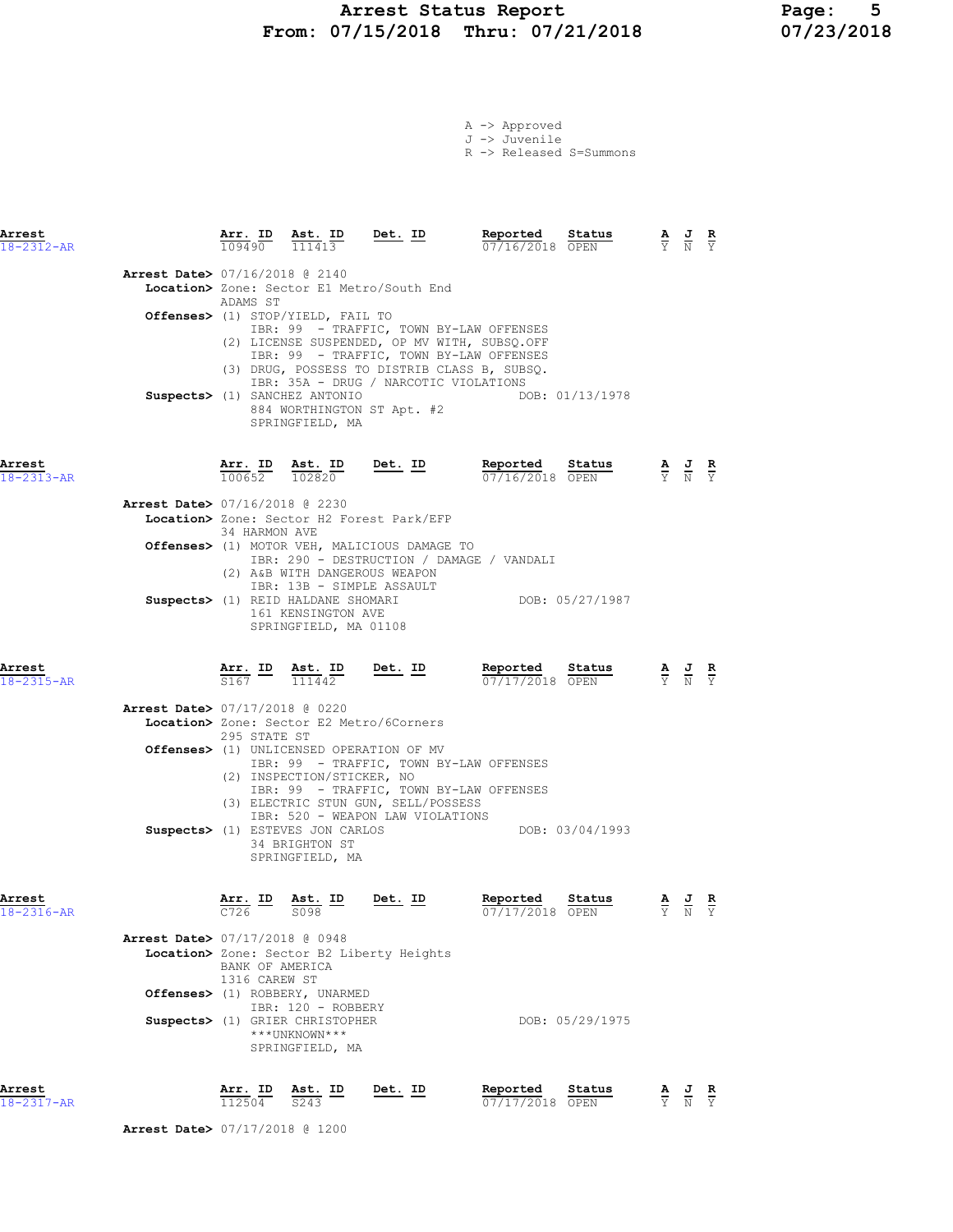# Arrest Status Report 1994 Page: 5<br>07/15/2018 Thru: 07/21/2018 107/23/2018 From: 07/15/2018 Thru: 07/21/2018

|  | A -> Approved |                         |
|--|---------------|-------------------------|
|  | J -> Juvenile |                         |
|  |               | R -> Released S=Summons |

| Arrest<br>$18 - 2312 - AR$ |                                          | 109490                                             | Arr. ID Ast. ID<br>111413                                                                 | Det. ID                                                                                                                                                                                                        | Reported                                  | Status<br>07/16/2018 OPEN | AJR<br>$\overline{Y}$ $\overline{N}$ $\overline{Y}$                                             |  |
|----------------------------|------------------------------------------|----------------------------------------------------|-------------------------------------------------------------------------------------------|----------------------------------------------------------------------------------------------------------------------------------------------------------------------------------------------------------------|-------------------------------------------|---------------------------|-------------------------------------------------------------------------------------------------|--|
|                            | <b>Arrest Date&gt; 07/16/2018 @ 2140</b> | ADAMS ST                                           | <b>Offenses&gt;</b> (1) STOP/YIELD, FAIL TO                                               | Location> Zone: Sector E1 Metro/South End<br>IBR: 99 - TRAFFIC, TOWN BY-LAW OFFENSES                                                                                                                           |                                           |                           |                                                                                                 |  |
|                            |                                          |                                                    | Suspects> (1) SANCHEZ ANTONIO<br>SPRINGFIELD, MA                                          | (2) LICENSE SUSPENDED, OP MV WITH, SUBSQ.OFF<br>IBR: 99 - TRAFFIC, TOWN BY-LAW OFFENSES<br>(3) DRUG, POSSESS TO DISTRIB CLASS B, SUBSQ.<br>IBR: 35A - DRUG / NARCOTIC VIOLATIONS<br>884 WORTHINGTON ST Apt. #2 |                                           | DOB: 01/13/1978           |                                                                                                 |  |
| Arrest<br>18-2313-AR       |                                          | Arr. ID<br>$100652$ $102820$                       | Ast. ID                                                                                   | Det. ID                                                                                                                                                                                                        | Reported<br>07/16/2018 OPEN               | Status                    | $\frac{\mathbf{A}}{\mathbf{Y}}$ $\frac{\mathbf{J}}{\mathbf{N}}$ $\frac{\mathbf{R}}{\mathbf{Y}}$ |  |
|                            | <b>Arrest Date&gt;</b> 07/16/2018 @ 2230 | 34 HARMON AVE                                      |                                                                                           | Location> Zone: Sector H2 Forest Park/EFP                                                                                                                                                                      |                                           |                           |                                                                                                 |  |
|                            |                                          |                                                    | (2) A&B WITH DANGEROUS WEAPON<br>IBR: 13B - SIMPLE ASSAULT                                | Offenses> (1) MOTOR VEH, MALICIOUS DAMAGE TO                                                                                                                                                                   | IBR: 290 - DESTRUCTION / DAMAGE / VANDALI |                           |                                                                                                 |  |
|                            |                                          |                                                    | Suspects> (1) REID HALDANE SHOMARI<br>161 KENSINGTON AVE<br>SPRINGFIELD, MA 01108         |                                                                                                                                                                                                                | DOB: 05/27/1987                           |                           |                                                                                                 |  |
| Arrest<br>$18 - 2315 - AR$ |                                          | $\overline{S167}$                                  | Arr. ID Ast. ID<br>$\frac{111442}{}$                                                      | <u>Det. ID</u>                                                                                                                                                                                                 | Reported<br>07/17/2018 OPEN               | Status                    | $\frac{\mathbf{A}}{\mathbf{Y}}$ $\frac{\mathbf{J}}{\mathbf{N}}$ $\frac{\mathbf{R}}{\mathbf{Y}}$ |  |
|                            | <b>Arrest Date&gt; 07/17/2018 @ 0220</b> | 295 STATE ST                                       |                                                                                           | Location> Zone: Sector E2 Metro/6Corners                                                                                                                                                                       |                                           |                           |                                                                                                 |  |
|                            |                                          |                                                    | (2) INSPECTION/STICKER, NO                                                                | <b>Offenses&gt;</b> (1) UNLICENSED OPERATION OF MV<br>IBR: 99 - TRAFFIC, TOWN BY-LAW OFFENSES<br>IBR: 99 - TRAFFIC, TOWN BY-LAW OFFENSES<br>(3) ELECTRIC STUN GUN, SELL/POSSESS                                |                                           |                           |                                                                                                 |  |
|                            |                                          |                                                    | Suspects> (1) ESTEVES JON CARLOS<br>34 BRIGHTON ST<br>SPRINGFIELD, MA                     | IBR: 520 - WEAPON LAW VIOLATIONS                                                                                                                                                                               |                                           | DOB: 03/04/1993           |                                                                                                 |  |
| Arrest<br>$18 - 2316 - AR$ |                                          | $\frac{\text{Arr.}}{C726}$ ID<br>$\overline{C726}$ | $\frac{\text{Ast. ID}}{\text{max}}$<br>5098                                               | Det. ID                                                                                                                                                                                                        | Reported<br>07/17/2018 OPEN               | Status                    | $\frac{\mathbf{A}}{\mathbf{Y}}$ $\frac{\mathbf{J}}{\mathbf{N}}$ $\frac{\mathbf{R}}{\mathbf{Y}}$ |  |
|                            | <b>Arrest Date&gt; 07/17/2018 @ 0948</b> | BANK OF AMERICA<br>1316 CAREW ST                   | Offenses> (1) ROBBERY, UNARMED                                                            | Location> Zone: Sector B2 Liberty Heights                                                                                                                                                                      |                                           |                           |                                                                                                 |  |
|                            |                                          |                                                    | IBR: 120 - ROBBERY<br>Suspects> (1) GRIER CHRISTOPHER<br>***UNKNOWN***<br>SPRINGFIELD, MA |                                                                                                                                                                                                                |                                           | DOB: 05/29/1975           |                                                                                                 |  |
| Arrest                     |                                          | Arr. ID                                            | Ast. ID                                                                                   | Det. ID                                                                                                                                                                                                        | Reported                                  | Status                    | AJ R                                                                                            |  |

18-2317-AR 112504 S243 07/17/2018 OPEN Y N Y

Arrest Date> 07/17/2018 @ 1200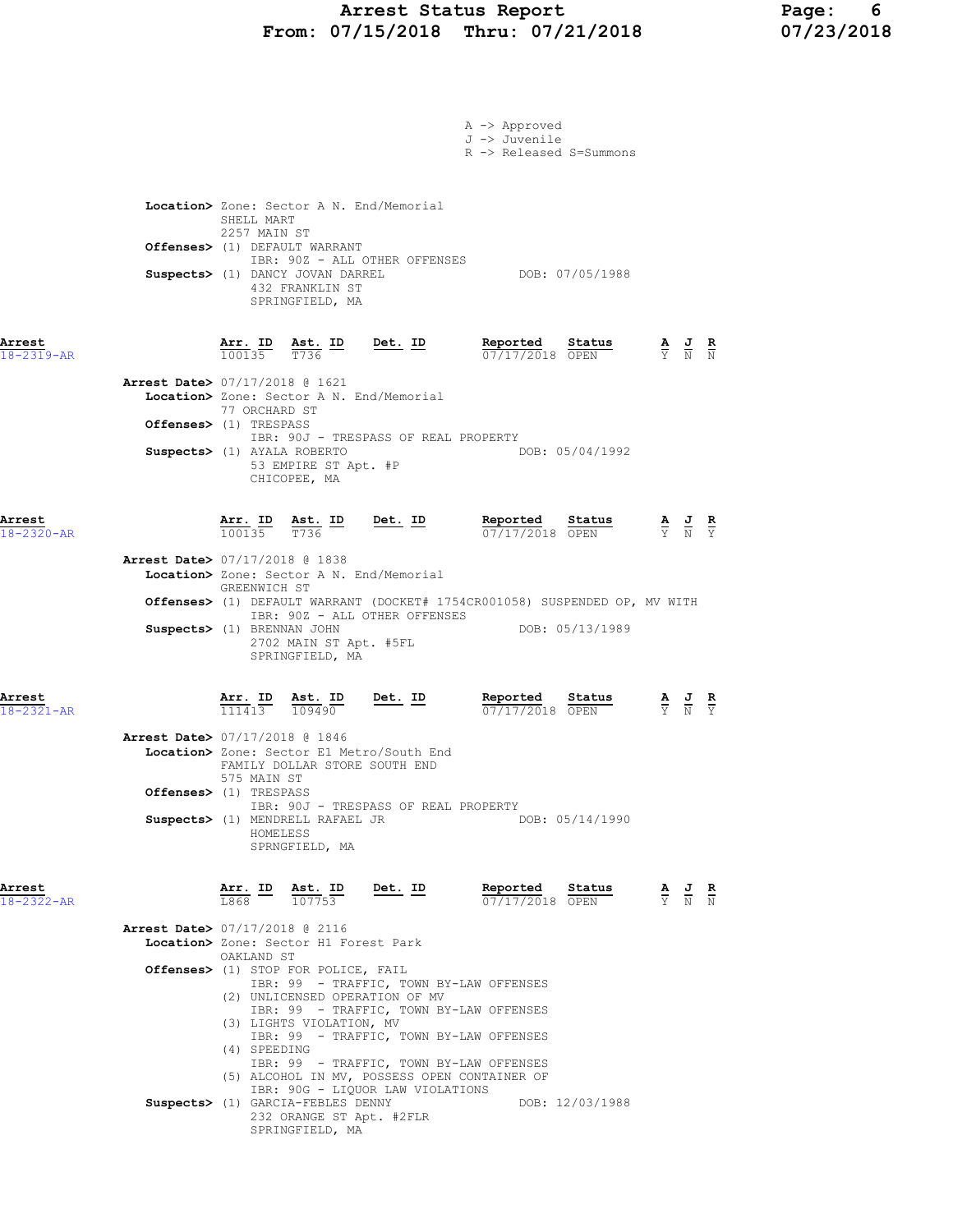### Arrest Status Report Page: 6 From: 07/15/2018 Thru: 07/21/2018 07/23/2018

|                            |                                                                                                              | A -> Approved<br>J -> Juvenile<br>R -> Released S=Summons                         |                                                                                                 |
|----------------------------|--------------------------------------------------------------------------------------------------------------|-----------------------------------------------------------------------------------|-------------------------------------------------------------------------------------------------|
|                            | Location> Zone: Sector A N. End/Memorial<br>SHELL MART                                                       |                                                                                   |                                                                                                 |
|                            | 2257 MAIN ST<br>Offenses> (1) DEFAULT WARRANT                                                                |                                                                                   |                                                                                                 |
|                            | IBR: 90Z - ALL OTHER OFFENSES<br>Suspects> (1) DANCY JOVAN DARREL<br>432 FRANKLIN ST<br>SPRINGFIELD, MA      | DOB: 07/05/1988                                                                   |                                                                                                 |
| Arrest<br>$18 - 2319 - AR$ | $\frac{\texttt{Arr. ID}}{100135}$ $\frac{\texttt{ Ast. ID}}{T736}$ Det. ID                                   | Reported Status<br>07/17/2018 OPEN                                                | $\frac{\mathbf{A}}{\mathbf{Y}}$ $\frac{\mathbf{J}}{\mathbf{N}}$ $\frac{\mathbf{R}}{\mathbf{N}}$ |
|                            | <b>Arrest Date&gt; 07/17/2018 @ 1621</b><br>Location> Zone: Sector A N. End/Memorial<br>77 ORCHARD ST        |                                                                                   |                                                                                                 |
|                            | <b>Offenses&gt;</b> (1) TRESPASS<br>IBR: 90J - TRESPASS OF REAL PROPERTY                                     |                                                                                   |                                                                                                 |
|                            | Suspects> (1) AYALA ROBERTO<br>53 EMPIRE ST Apt. #P<br>CHICOPEE, MA                                          | DOB: 05/04/1992                                                                   |                                                                                                 |
| Arrest<br>18-2320-AR       | <u>Det. ID</u><br>$\frac{\texttt{Arr.}}{100135}$ $\frac{\texttt{ Ast.}}{T736}$ $\frac{\texttt{ID}}{T}$       | <b>Reported Status A J R</b> 07/17/2018 OPEN $\frac{1}{Y}$ <b>N</b> $\frac{1}{Y}$ |                                                                                                 |
|                            | Arrest Date> 07/17/2018 @ 1838<br>Location> Zone: Sector A N. End/Memorial                                   |                                                                                   |                                                                                                 |
|                            | GREENWICH ST<br><b>Offenses&gt;</b> (1) DEFAULT WARRANT (DOCKET# 1754CR001058) SUSPENDED OP, MV WITH         |                                                                                   |                                                                                                 |
|                            | IBR: 90Z - ALL OTHER OFFENSES<br>Suspects> (1) BRENNAN JOHN<br>2702 MAIN ST Apt. #5FL<br>SPRINGFIELD, MA     | DOB: 05/13/1989                                                                   |                                                                                                 |
| Arrest<br>18-2321-AR       | <u>Ast. ID</u><br><u>Det. ID</u><br>$\frac{\texttt{Arr.}}{111413}$<br>109490                                 | Reported<br>Status<br>07/17/2018 OPEN                                             | $\frac{\mathbf{A}}{\mathbf{Y}}$ $\frac{\mathbf{J}}{\mathbf{N}}$ $\frac{\mathbf{R}}{\mathbf{Y}}$ |
|                            | Arrest Date> 07/17/2018 @ 1846<br>Location> Zone: Sector E1 Metro/South End<br>FAMILY DOLLAR STORE SOUTH END |                                                                                   |                                                                                                 |
|                            | 575 MAIN ST<br>Offenses> (1) TRESPASS                                                                        |                                                                                   |                                                                                                 |
|                            | IBR: 90J - TRESPASS OF REAL PROPERTY<br>Suspects> (1) MENDRELL RAFAEL JR<br>HOMELESS<br>SPRNGFIELD, MA       | DOB: 05/14/1990                                                                   |                                                                                                 |
| Arrest<br>18-2322-AR       | $\overline{\text{Arr.}}$ ID $\overline{\text{Ast.}}$ ID Det. ID<br>107753<br>T.868                           | Reported<br>Status<br>07/17/2018 OPEN                                             | $\frac{\mathbf{A}}{\mathbf{Y}}$ $\frac{\mathbf{J}}{\mathbf{N}}$ $\frac{\mathbf{R}}{\mathbf{N}}$ |
|                            | Arrest Date> 07/17/2018 @ 2116<br>Location> Zone: Sector H1 Forest Park<br>OAKLAND ST                        |                                                                                   |                                                                                                 |
|                            | Offenses> (1) STOP FOR POLICE, FAIL<br>IBR: 99 - TRAFFIC, TOWN BY-LAW OFFENSES                               |                                                                                   |                                                                                                 |
|                            | (2) UNLICENSED OPERATION OF MV<br>IBR: 99 - TRAFFIC, TOWN BY-LAW OFFENSES                                    |                                                                                   |                                                                                                 |
|                            | (3) LIGHTS VIOLATION, MV<br>IBR: 99 - TRAFFIC, TOWN BY-LAW OFFENSES                                          |                                                                                   |                                                                                                 |
|                            | (4) SPEEDING<br>IBR: 99 - TRAFFIC, TOWN BY-LAW OFFENSES                                                      |                                                                                   |                                                                                                 |
|                            | (5) ALCOHOL IN MV, POSSESS OPEN CONTAINER OF<br>IBR: 90G - LIQUOR LAW VIOLATIONS                             |                                                                                   |                                                                                                 |
|                            | Suspects> (1) GARCIA-FEBLES DENNY<br>232 ORANGE ST Apt. #2FLR<br>SPRINGFIELD, MA                             | DOB: 12/03/1988                                                                   |                                                                                                 |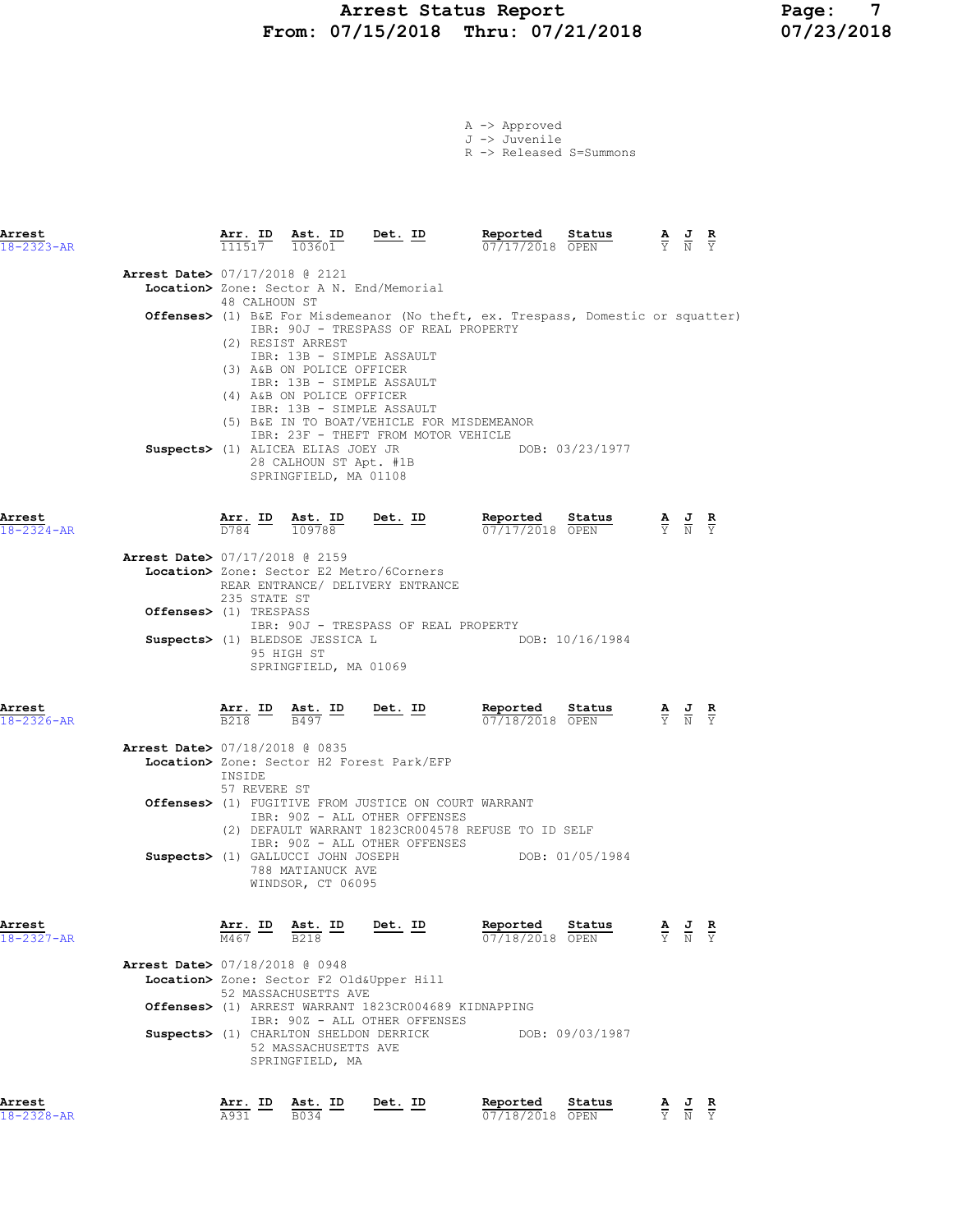### Arrest Status Report Page: 7 From: 07/15/2018 Thru: 07/21/2018 07/23/2018

| A -> Approved |                                    |
|---------------|------------------------------------|
| J -> Juvenile |                                    |
|               | $R \rightarrow$ Released S=Summons |

| Arrest<br>18-2323-AR       |                                          |                                                                        | $\frac{\texttt{Arr.}}{111517}$ $\frac{\texttt{ Ast.}}{103601}$ Det. ID                |                                                                                                                                                       | Reported Status<br>07/17/2018 OPEN                                                         |                                                   | $\frac{\mathbf{A}}{\mathbf{Y}}$ $\frac{\mathbf{J}}{\mathbf{N}}$ $\frac{\mathbf{R}}{\mathbf{Y}}$ |                                                                                                       |  |
|----------------------------|------------------------------------------|------------------------------------------------------------------------|---------------------------------------------------------------------------------------|-------------------------------------------------------------------------------------------------------------------------------------------------------|--------------------------------------------------------------------------------------------|---------------------------------------------------|-------------------------------------------------------------------------------------------------|-------------------------------------------------------------------------------------------------------|--|
|                            | Arrest Date> 07/17/2018 @ 2121           |                                                                        |                                                                                       |                                                                                                                                                       |                                                                                            |                                                   |                                                                                                 |                                                                                                       |  |
|                            |                                          |                                                                        |                                                                                       | Location> Zone: Sector A N. End/Memorial                                                                                                              |                                                                                            |                                                   |                                                                                                 |                                                                                                       |  |
|                            |                                          | 48 CALHOUN ST                                                          |                                                                                       | IBR: 90J - TRESPASS OF REAL PROPERTY                                                                                                                  | <b>Offenses&gt;</b> (1) B&E For Misdemeanor (No theft, ex. Trespass, Domestic or squatter) |                                                   |                                                                                                 |                                                                                                       |  |
|                            |                                          |                                                                        | (2) RESIST ARREST<br>(3) A&B ON POLICE OFFICER<br>(4) A&B ON POLICE OFFICER           | IBR: 13B - SIMPLE ASSAULT<br>IBR: 13B - SIMPLE ASSAULT<br>IBR: 13B - SIMPLE ASSAULT<br>(5) B&E IN TO BOAT/VEHICLE FOR MISDEMEANOR                     |                                                                                            |                                                   |                                                                                                 |                                                                                                       |  |
|                            |                                          |                                                                        | Suspects> (1) ALICEA ELIAS JOEY JR<br>28 CALHOUN ST Apt. #1B<br>SPRINGFIELD, MA 01108 | IBR: 23F - THEFT FROM MOTOR VEHICLE                                                                                                                   |                                                                                            | DOB: 03/23/1977                                   |                                                                                                 |                                                                                                       |  |
| Arrest<br>$18 - 2324 - AR$ |                                          | D784                                                                   | Arr. ID Ast. ID<br>109788                                                             | Det. ID                                                                                                                                               | Reported<br>07/17/2018 OPEN                                                                | <b>Status A J</b><br>$\overline{OPEN}$ <b>K N</b> |                                                                                                 |                                                                                                       |  |
|                            | <b>Arrest Date&gt; 07/17/2018 @ 2159</b> | 235 STATE ST                                                           |                                                                                       | Location> Zone: Sector E2 Metro/6Corners<br>REAR ENTRANCE/ DELIVERY ENTRANCE                                                                          |                                                                                            |                                                   |                                                                                                 |                                                                                                       |  |
|                            | Offenses> (1) TRESPASS                   |                                                                        |                                                                                       |                                                                                                                                                       |                                                                                            |                                                   |                                                                                                 |                                                                                                       |  |
|                            |                                          |                                                                        | Suspects> (1) BLEDSOE JESSICA L<br>95 HIGH ST<br>SPRINGFIELD, MA 01069                | IBR: 90J - TRESPASS OF REAL PROPERTY                                                                                                                  |                                                                                            | DOB: 10/16/1984                                   |                                                                                                 |                                                                                                       |  |
| Arrest<br>18-2326-AR       |                                          | $\frac{\text{Arr.}}{\text{B218}}$ ID $\frac{\text{Ast.}}{\text{B497}}$ |                                                                                       | Det. ID                                                                                                                                               | Reported<br>07/18/2018 OPEN                                                                | Status                                            |                                                                                                 | $\frac{\mathbf{A}}{\overline{Y}}$ $\frac{\mathbf{J}}{\overline{N}}$ $\frac{\mathbf{R}}{\overline{Y}}$ |  |
|                            | Arrest Date> 07/18/2018 @ 0835           | INSIDE<br>57 REVERE ST                                                 |                                                                                       | Location> Zone: Sector H2 Forest Park/EFP                                                                                                             |                                                                                            |                                                   |                                                                                                 |                                                                                                       |  |
|                            |                                          |                                                                        |                                                                                       | <b>Offenses&gt;</b> (1) FUGITIVE FROM JUSTICE ON COURT WARRANT<br>IBR: 90Z - ALL OTHER OFFENSES<br>IBR: 90Z - ALL OTHER OFFENSES                      | (2) DEFAULT WARRANT 1823CR004578 REFUSE TO ID SELF                                         |                                                   |                                                                                                 |                                                                                                       |  |
|                            |                                          |                                                                        | 788 MATIANUCK AVE<br>WINDSOR, CT 06095                                                | Suspects> (1) GALLUCCI JOHN JOSEPH                                                                                                                    |                                                                                            | DOB: 01/05/1984                                   |                                                                                                 |                                                                                                       |  |
| Arrest<br>18-2327-AR       |                                          |                                                                        |                                                                                       | $\frac{\texttt{Arr. ID}}{\text{M467}}$ $\frac{\texttt{ Ast. ID}}{\text{B218}}$ $\frac{\texttt{ID}}{\texttt{D}}$ $\frac{\texttt{Det. ID}}{\texttt{D}}$ | Reported<br>$07/18/2018$ OPEN                                                              | Status                                            |                                                                                                 | $\frac{\mathbf{A}}{\mathbf{Y}}$ $\frac{\mathbf{J}}{\mathbf{N}}$ $\frac{\mathbf{R}}{\mathbf{Y}}$       |  |
|                            | <b>Arrest Date&gt; 07/18/2018 @ 0948</b> |                                                                        | 52 MASSACHUSETTS AVE                                                                  | Location> Zone: Sector F2 Old&Upper Hill                                                                                                              |                                                                                            |                                                   |                                                                                                 |                                                                                                       |  |
|                            |                                          |                                                                        |                                                                                       | Offenses> (1) ARREST WARRANT 1823CR004689 KIDNAPPING<br>IBR: 90Z - ALL OTHER OFFENSES                                                                 |                                                                                            |                                                   |                                                                                                 |                                                                                                       |  |
|                            |                                          |                                                                        | Suspects> (1) CHARLTON SHELDON DERRICK<br>52 MASSACHUSETTS AVE<br>SPRINGFIELD, MA     |                                                                                                                                                       |                                                                                            | DOB: 09/03/1987                                   |                                                                                                 |                                                                                                       |  |
| Arrest                     |                                          | Arr. ID                                                                | Ast. ID                                                                               | Det. ID                                                                                                                                               | Reported                                                                                   | Status                                            |                                                                                                 | AJR                                                                                                   |  |

18-2328-AR A931 B034 07/18/2018 OPEN Y N Y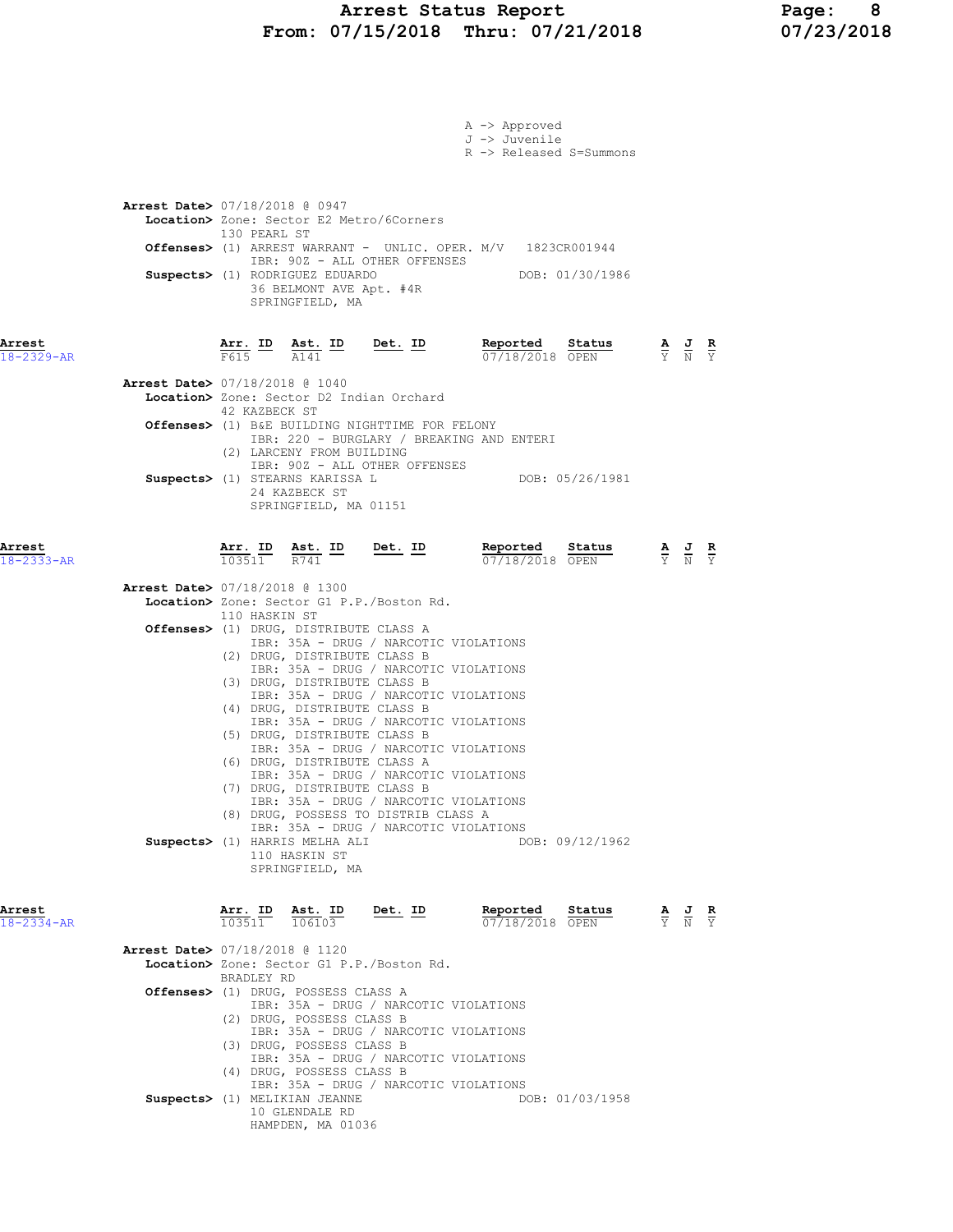### Arrest Status Report Page: 8 From: 07/15/2018 Thru: 07/21/2018 07/23/2018

|                            |                                                                                                                                                                                                                                                                                                                                                                                                                                                                                                                                                                                                                                                                                                                                                                                                                                                   | A -> Approved<br>J -> Juvenile<br>R -> Released S=Summons                                                                                       |
|----------------------------|---------------------------------------------------------------------------------------------------------------------------------------------------------------------------------------------------------------------------------------------------------------------------------------------------------------------------------------------------------------------------------------------------------------------------------------------------------------------------------------------------------------------------------------------------------------------------------------------------------------------------------------------------------------------------------------------------------------------------------------------------------------------------------------------------------------------------------------------------|-------------------------------------------------------------------------------------------------------------------------------------------------|
|                            | <b>Arrest Date&gt; 07/18/2018 @ 0947</b><br>Location> Zone: Sector E2 Metro/6Corners<br>130 PEARL ST<br>Offenses> (1) ARREST WARRANT - UNLIC. OPER. M/V 1823CR001944<br>IBR: 90Z - ALL OTHER OFFENSES<br>Suspects> (1) RODRIGUEZ EDUARDO<br>36 BELMONT AVE Apt. #4R<br>SPRINGFIELD, MA                                                                                                                                                                                                                                                                                                                                                                                                                                                                                                                                                            | DOB: 01/30/1986                                                                                                                                 |
| Arrest<br>$18 - 2329 - AR$ | $Det. ID$<br>$\frac{\texttt{Arr.}}{\texttt{F615}}$ ID $\frac{\texttt{ Ast.}}{\texttt{A141}}$ ID                                                                                                                                                                                                                                                                                                                                                                                                                                                                                                                                                                                                                                                                                                                                                   | <u>Reported</u><br>Status<br>$\frac{\mathbf{A}}{\mathbf{Y}}$ $\frac{\mathbf{J}}{\mathbf{N}}$ $\frac{\mathbf{R}}{\mathbf{Y}}$<br>07/18/2018 OPEN |
|                            | <b>Arrest Date&gt; 07/18/2018 @ 1040</b><br>Location> Zone: Sector D2 Indian Orchard<br>42 KAZBECK ST<br><b>Offenses&gt;</b> (1) B&E BUILDING NIGHTTIME FOR FELONY<br>IBR: 220 - BURGLARY / BREAKING AND ENTERI<br>(2) LARCENY FROM BUILDING<br>IBR: 90Z - ALL OTHER OFFENSES<br>Suspects> (1) STEARNS KARISSA L<br>24 KAZBECK ST<br>SPRINGFIELD, MA 01151                                                                                                                                                                                                                                                                                                                                                                                                                                                                                        | DOB: 05/26/1981                                                                                                                                 |
| Arrest<br>$18 - 2333 - AR$ | Arr. ID<br>$\frac{\texttt{Ast.}}{R741}$ ID<br><u>Det.</u> ID<br>103511                                                                                                                                                                                                                                                                                                                                                                                                                                                                                                                                                                                                                                                                                                                                                                            | Reported<br>Status<br>$\frac{\mathbf{A}}{\mathbf{Y}}$ $\frac{\mathbf{J}}{\mathbf{N}}$ $\frac{\mathbf{R}}{\mathbf{Y}}$<br>07/18/2018 OPEN        |
| Arrest                     | <b>Arrest Date&gt;</b> 07/18/2018 @ 1300<br>Location> Zone: Sector G1 P.P./Boston Rd.<br>110 HASKIN ST<br><b>Offenses&gt;</b> (1) DRUG, DISTRIBUTE CLASS A<br>IBR: 35A - DRUG / NARCOTIC VIOLATIONS<br>(2) DRUG, DISTRIBUTE CLASS B<br>IBR: 35A - DRUG / NARCOTIC VIOLATIONS<br>(3) DRUG, DISTRIBUTE CLASS B<br>IBR: 35A - DRUG / NARCOTIC VIOLATIONS<br>(4) DRUG, DISTRIBUTE CLASS B<br>IBR: 35A - DRUG / NARCOTIC VIOLATIONS<br>(5) DRUG, DISTRIBUTE CLASS B<br>IBR: 35A - DRUG / NARCOTIC VIOLATIONS<br>(6) DRUG, DISTRIBUTE CLASS A<br>IBR: 35A - DRUG / NARCOTIC VIOLATIONS<br>(7) DRUG, DISTRIBUTE CLASS B<br>IBR: 35A - DRUG / NARCOTIC VIOLATIONS<br>(8) DRUG, POSSESS TO DISTRIB CLASS A<br>IBR: 35A - DRUG / NARCOTIC VIOLATIONS<br>Suspects> (1) HARRIS MELHA ALI<br>110 HASKIN ST<br>SPRINGFIELD, MA<br>Arr. ID<br>Ast. ID<br>Det. ID | DOB: 09/12/1962<br>Reported<br>Status                                                                                                           |
| $18 - 2334 - AR$           | 103511<br>106103<br>Arrest Date> 07/18/2018 @ 1120                                                                                                                                                                                                                                                                                                                                                                                                                                                                                                                                                                                                                                                                                                                                                                                                | $\frac{\mathbf{A}}{\mathbf{Y}}$ $\frac{\mathbf{J}}{\mathbf{N}}$ $\frac{\mathbf{R}}{\mathbf{Y}}$<br>07/18/2018 OPEN                              |
|                            | Location> Zone: Sector G1 P.P./Boston Rd.<br>BRADLEY RD                                                                                                                                                                                                                                                                                                                                                                                                                                                                                                                                                                                                                                                                                                                                                                                           |                                                                                                                                                 |
|                            | Offenses> (1) DRUG, POSSESS CLASS A<br>IBR: 35A - DRUG / NARCOTIC VIOLATIONS<br>(2) DRUG, POSSESS CLASS B<br>IBR: 35A - DRUG / NARCOTIC VIOLATIONS<br>(3) DRUG, POSSESS CLASS B<br>IBR: 35A - DRUG / NARCOTIC VIOLATIONS<br>(4) DRUG, POSSESS CLASS B<br>IBR: 35A - DRUG / NARCOTIC VIOLATIONS<br>Suspects> (1) MELIKIAN JEANNE<br>10 GLENDALE RD                                                                                                                                                                                                                                                                                                                                                                                                                                                                                                 | DOB: 01/03/1958                                                                                                                                 |

HAMPDEN, MA 01036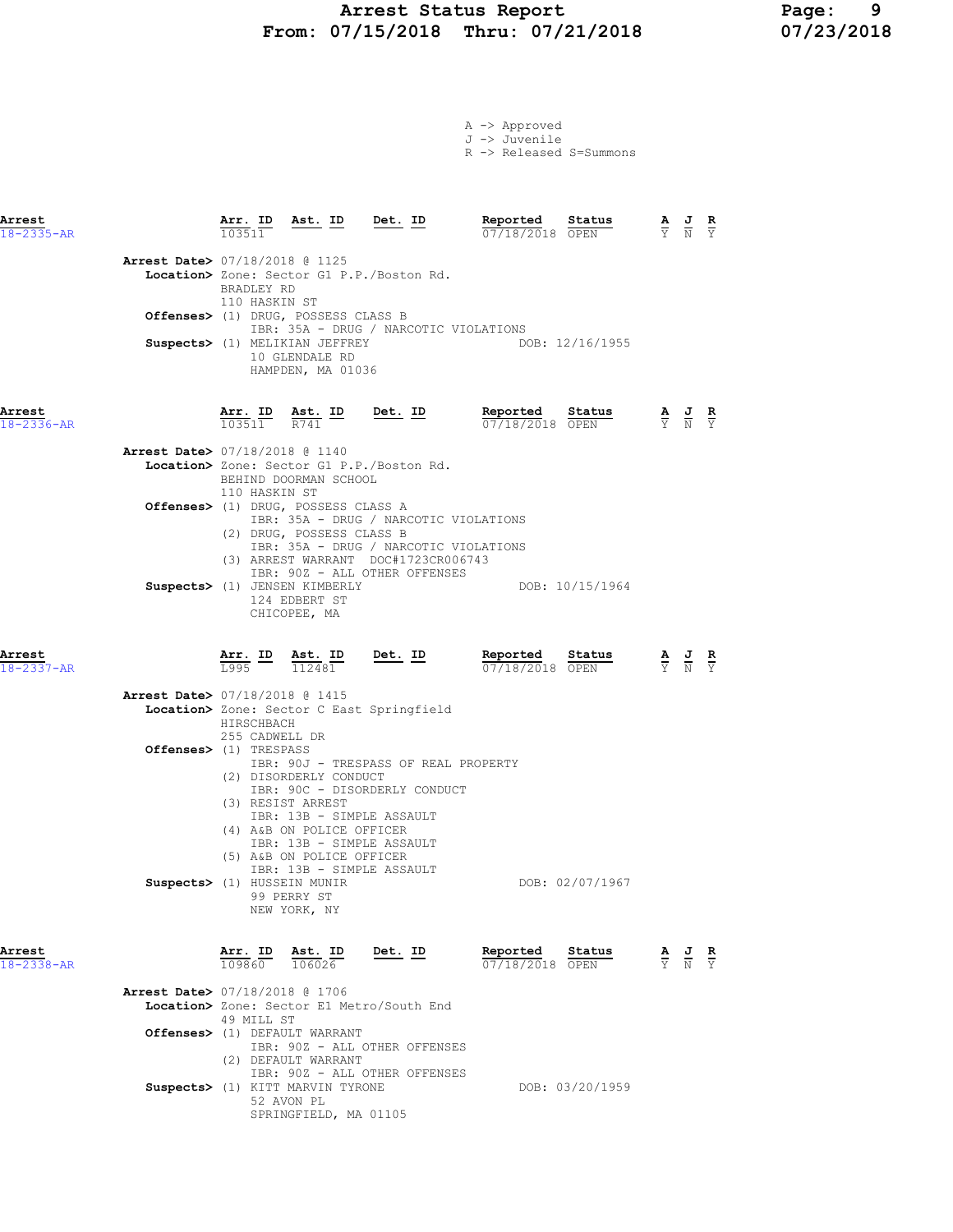### Arrest Status Report 19<br>37/15/2018 Thru: 07/21/2018 107/23/2018 From: 07/15/2018 Thru: 07/21/2018

A -> Approved J -> Juvenile R -> Released S=Summons

| Arrest<br>18-2335-AR       |                                          | $\frac{\texttt{Arr.}}{103511}$ | <u>Ast. ID Det. ID</u>                                                                                                                                          |                                                                                                                                                        | Reported<br>07/18/2018 OPEN        | Status          | $\frac{\mathbf{A}}{\mathbf{Y}}$ $\frac{\mathbf{J}}{\mathbf{N}}$                                       | $\frac{R}{Y}$ |
|----------------------------|------------------------------------------|--------------------------------|-----------------------------------------------------------------------------------------------------------------------------------------------------------------|--------------------------------------------------------------------------------------------------------------------------------------------------------|------------------------------------|-----------------|-------------------------------------------------------------------------------------------------------|---------------|
|                            | <b>Arrest Date&gt; 07/18/2018 @ 1125</b> | BRADLEY RD<br>110 HASKIN ST    | Offenses> (1) DRUG, POSSESS CLASS B<br>Suspects> (1) MELIKIAN JEFFREY<br>10 GLENDALE RD<br>HAMPDEN, MA 01036                                                    | Location> Zone: Sector G1 P.P./Boston Rd.<br>IBR: 35A - DRUG / NARCOTIC VIOLATIONS                                                                     |                                    | DOB: 12/16/1955 |                                                                                                       |               |
| Arrest<br>$18 - 2336 - AR$ |                                          | Arr. ID<br>103511              | $\frac{\texttt{Ast.}}{R741}$ ID                                                                                                                                 | <u>Det. ID</u>                                                                                                                                         | Reported<br>$07/18/2018$ OPEN      | Status          | $\frac{\mathbf{A}}{\overline{Y}}$ $\frac{\mathbf{J}}{\overline{N}}$ $\frac{\mathbf{R}}{\overline{Y}}$ |               |
|                            | Arrest Date> 07/18/2018 @ 1140           | 110 HASKIN ST                  | BEHIND DOORMAN SCHOOL                                                                                                                                           | Location> Zone: Sector G1 P.P./Boston Rd.                                                                                                              |                                    |                 |                                                                                                       |               |
|                            |                                          |                                | Offenses> (1) DRUG, POSSESS CLASS A<br>(2) DRUG, POSSESS CLASS B                                                                                                | IBR: 35A - DRUG / NARCOTIC VIOLATIONS<br>IBR: 35A - DRUG / NARCOTIC VIOLATIONS<br>(3) ARREST WARRANT DOC#1723CR006743<br>IBR: 90Z - ALL OTHER OFFENSES |                                    |                 |                                                                                                       |               |
|                            |                                          |                                | Suspects> (1) JENSEN KIMBERLY<br>124 EDBERT ST<br>CHICOPEE, MA                                                                                                  |                                                                                                                                                        |                                    | DOB: 10/15/1964 |                                                                                                       |               |
| Arrest                     |                                          |                                |                                                                                                                                                                 |                                                                                                                                                        |                                    |                 |                                                                                                       |               |
| $18 - 2337 - AR$           |                                          |                                | $\frac{\texttt{Arr.}}{\texttt{L995}}$ ID $\frac{\texttt{ Ast.}}{\texttt{112481}}$ Det. ID                                                                       |                                                                                                                                                        | Reported<br>07/18/2018 OPEN        | Sta <u>tus</u>  | $\frac{\mathbf{A}}{\mathbf{Y}}$ $\frac{\mathbf{J}}{\mathbf{N}}$ $\frac{\mathbf{R}}{\mathbf{Y}}$       |               |
|                            | Arrest Date> 07/18/2018 @ 1415           | HIRSCHBACH<br>255 CADWELL DR   |                                                                                                                                                                 | Location> Zone: Sector C East Springfield                                                                                                              |                                    |                 |                                                                                                       |               |
|                            | Offenses> (1) TRESPASS                   |                                | (2) DISORDERLY CONDUCT<br>(3) RESIST ARREST<br>IBR: 13B - SIMPLE ASSAULT<br>(4) A&B ON POLICE OFFICER<br>IBR: 13B - SIMPLE ASSAULT<br>(5) A&B ON POLICE OFFICER | IBR: 90J - TRESPASS OF REAL PROPERTY<br>IBR: 90C - DISORDERLY CONDUCT                                                                                  |                                    |                 |                                                                                                       |               |
|                            | Suspects> (1) HUSSEIN MUNIR              |                                | IBR: 13B - SIMPLE ASSAULT<br>99 PERRY ST<br>NEW YORK, NY                                                                                                        |                                                                                                                                                        |                                    | DOB: 02/07/1967 |                                                                                                       |               |
| Arrest<br>$18 - 2338 - AR$ |                                          |                                | $\frac{\texttt{Arr. ID}}{109860}$ $\frac{\texttt{ Ast. ID}}{106026}$                                                                                            | Det. ID                                                                                                                                                | Reported Status<br>07/18/2018 OPEN |                 | $\frac{\mathbf{A}}{\mathbf{Y}}$ $\frac{\mathbf{J}}{\mathbf{N}}$ $\frac{\mathbf{R}}{\mathbf{Y}}$       |               |
|                            | <b>Arrest Date&gt; 07/18/2018 @ 1706</b> | 49 MILL ST                     | Offenses> (1) DEFAULT WARRANT<br>(2) DEFAULT WARRANT                                                                                                            | Location> Zone: Sector E1 Metro/South End<br>IBR: 90Z - ALL OTHER OFFENSES                                                                             |                                    |                 |                                                                                                       |               |

Suspects> (1) KITT MARVIN TYRONE THE DOB: 03/20/1959 52 AVON PL

SPRINGFIELD, MA 01105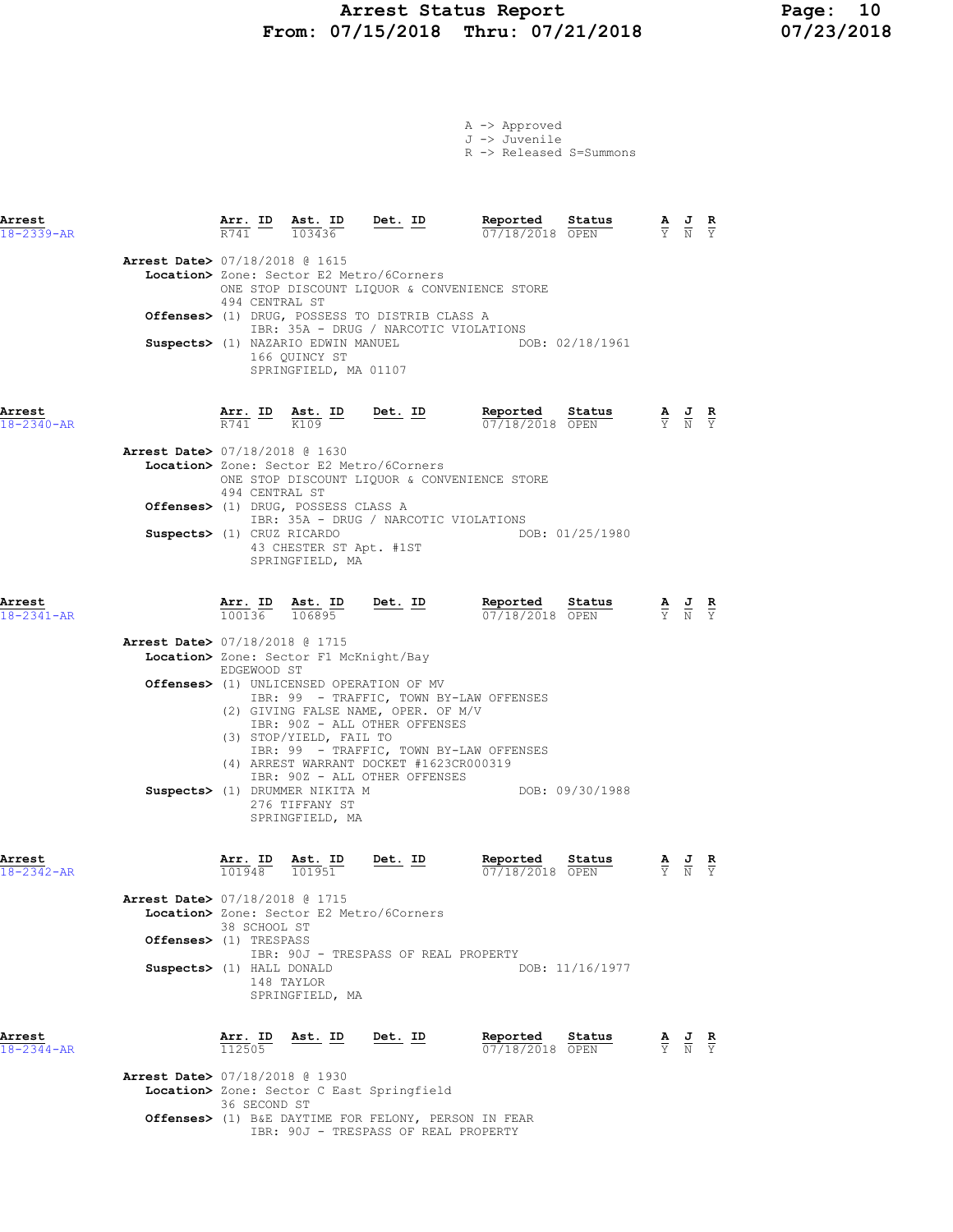# Arrest Status Report 10<br>17/15/2018 Thru: 07/21/2018 17/23/2018 From:  $07/15/2018$  Thru:  $07/21/2018$

|  | $A \rightarrow$ Approved |                         |
|--|--------------------------|-------------------------|
|  | J -> Juvenile            |                         |
|  |                          | R -> Released S=Summons |

| Arrest<br>18-2339-AR       |                                                                                       | Arr. ID                           | Ast. ID<br>103436                                                                                                                                                                              | Det. ID                                                                                                                                                                                                                                | Reported<br>07/18/2018 OPEN | Status                    |                                   |                                                                                                 | $rac{\mathbf{R}}{\mathbf{Y}}$ |
|----------------------------|---------------------------------------------------------------------------------------|-----------------------------------|------------------------------------------------------------------------------------------------------------------------------------------------------------------------------------------------|----------------------------------------------------------------------------------------------------------------------------------------------------------------------------------------------------------------------------------------|-----------------------------|---------------------------|-----------------------------------|-------------------------------------------------------------------------------------------------|-------------------------------|
|                            | <b>Arrest Date&gt; 07/18/2018 @ 1615</b>                                              | 494 CENTRAL ST                    | Location> Zone: Sector E2 Metro/6Corners<br>Suspects> (1) NAZARIO EDWIN MANUEL<br>166 QUINCY ST<br>SPRINGFIELD, MA 01107                                                                       | ONE STOP DISCOUNT LIQUOR & CONVENIENCE STORE<br>Offenses> (1) DRUG, POSSESS TO DISTRIB CLASS A<br>IBR: 35A - DRUG / NARCOTIC VIOLATIONS                                                                                                |                             | DOB: 02/18/1961           |                                   |                                                                                                 |                               |
| Arrest<br>$18 - 2340 - AR$ |                                                                                       | Arr. ID<br>R741                   | Ast. ID<br>K109                                                                                                                                                                                | <u>Det. ID</u>                                                                                                                                                                                                                         | Reported<br>07/18/2018 OPEN | Status                    |                                   | $\frac{\mathbf{A}}{\mathbf{Y}}$ $\frac{\mathbf{J}}{\mathbf{N}}$ $\frac{\mathbf{R}}{\mathbf{Y}}$ |                               |
|                            | Arrest Date> 07/18/2018 @ 1630<br>Suspects> (1) CRUZ RICARDO                          | 494 CENTRAL ST                    | Location> Zone: Sector E2 Metro/6Corners<br>Offenses> (1) DRUG, POSSESS CLASS A<br>43 CHESTER ST Apt. #1ST<br>SPRINGFIELD, MA                                                                  | ONE STOP DISCOUNT LIQUOR & CONVENIENCE STORE<br>IBR: 35A - DRUG / NARCOTIC VIOLATIONS                                                                                                                                                  |                             | DOB: 01/25/1980           |                                   |                                                                                                 |                               |
| Arrest<br>18-2341-AR       |                                                                                       | Arr. ID Ast. ID<br>100136         | 106895                                                                                                                                                                                         | Det. ID                                                                                                                                                                                                                                | Reported<br>07/18/2018 OPEN | Status                    |                                   | $\frac{\mathbf{A}}{\mathbf{Y}}$ $\frac{\mathbf{J}}{\mathbf{N}}$                                 |                               |
|                            | Arrest Date> 07/18/2018 @ 1715                                                        | EDGEWOOD ST                       | Location> Zone: Sector F1 McKnight/Bay<br><b>Offenses&gt;</b> (1) UNLICENSED OPERATION OF MV<br>(3) STOP/YIELD, FAIL TO<br>Suspects> (1) DRUMMER NIKITA M<br>276 TIFFANY ST<br>SPRINGFIELD, MA | IBR: 99 - TRAFFIC, TOWN BY-LAW OFFENSES<br>(2) GIVING FALSE NAME, OPER. OF M/V<br>IBR: 90Z - ALL OTHER OFFENSES<br>IBR: 99 - TRAFFIC, TOWN BY-LAW OFFENSES<br>(4) ARREST WARRANT DOCKET #1623CR000319<br>IBR: 90Z - ALL OTHER OFFENSES |                             | DOB: 09/30/1988           |                                   |                                                                                                 |                               |
| Arrest<br>$18 - 2342 - AR$ | Arrest Date> 07/18/2018 @ 1715<br>Offenses> (1) TRESPASS<br>Suspects> (1) HALL DONALD | Arr. ID<br>101948<br>38 SCHOOL ST | Ast. ID<br>101951<br>Location> Zone: Sector E2 Metro/6Corners<br>148 TAYLOR<br>SPRINGFIELD, MA                                                                                                 | <u>Det. ID</u><br>IBR: 90J - TRESPASS OF REAL PROPERTY                                                                                                                                                                                 | Reported<br>07/18/2018 OPEN | Status<br>DOB: 11/16/1977 | $\frac{\mathbf{A}}{\overline{Y}}$ | $\frac{J}{N}$                                                                                   |                               |
| Arrest<br>$18 - 2344 - AR$ |                                                                                       | Arr. ID<br>112505                 | Ast. ID                                                                                                                                                                                        | Det. ID                                                                                                                                                                                                                                | Reported<br>07/18/2018      | Status<br>OPEN            | $\frac{\mathbf{A}}{\mathbf{Y}}$   | $\frac{J}{N}$                                                                                   | $rac{\mathbf{R}}{\mathbf{Y}}$ |
|                            | <b>Arrest Date&gt; 07/18/2018 @ 1930</b>                                              | 36 SECOND ST                      |                                                                                                                                                                                                | Location> Zone: Sector C East Springfield<br><b>Offenses&gt;</b> (1) B&E DAYTIME FOR FELONY, PERSON IN FEAR                                                                                                                            |                             |                           |                                   |                                                                                                 |                               |

IBR: 90J - TRESPASS OF REAL PROPERTY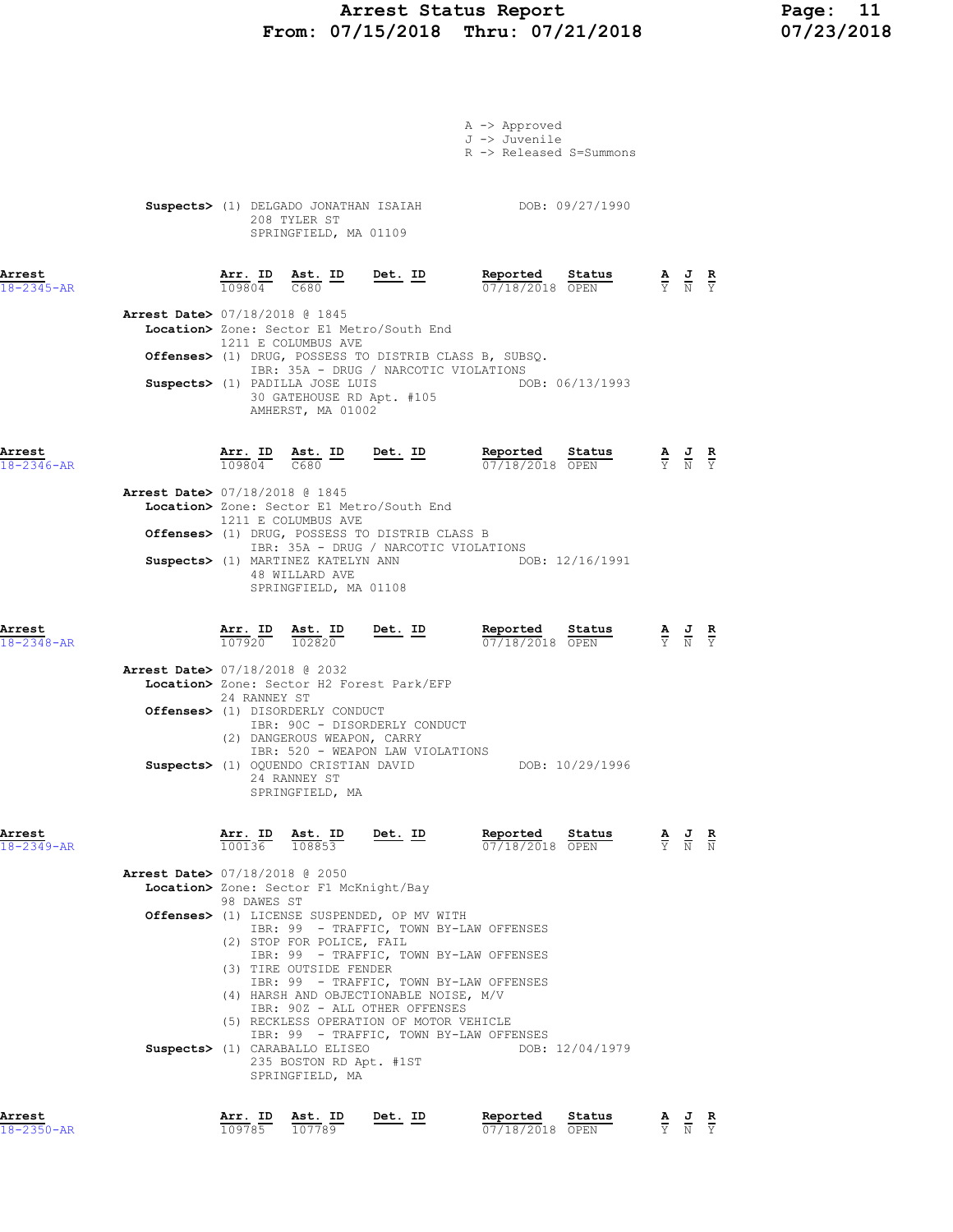# Arrest Status Report Page: 11 From: 07/15/2018 Thru: 07/21/2018

|                            |                                          |                   |                                                                                                      |                                                                                                                                      | A -> Approved<br>J -> Juvenile<br>R -> Released S=Summons                          |                                                                                                 |                                                                                                 |               |
|----------------------------|------------------------------------------|-------------------|------------------------------------------------------------------------------------------------------|--------------------------------------------------------------------------------------------------------------------------------------|------------------------------------------------------------------------------------|-------------------------------------------------------------------------------------------------|-------------------------------------------------------------------------------------------------|---------------|
|                            |                                          |                   | 208 TYLER ST<br>SPRINGFIELD, MA 01109                                                                |                                                                                                                                      | Suspects> (1) DELGADO JONATHAN ISAIAH DOB: 09/27/1990                              |                                                                                                 |                                                                                                 |               |
| Arrest<br>$18 - 2345 - AR$ |                                          |                   | $109804$ $C680$                                                                                      | $\frac{\text{Arr. ID}}{\text{max. ID}}$ $\frac{\text{Est. ID}}{\text{max. ID}}$ $\frac{\text{Det. ID}}{\text{max. ID}}$              | Reported Status                                                                    | $\frac{\mathbf{A}}{\mathbf{Y}}$ $\frac{\mathbf{J}}{\mathbf{N}}$ $\frac{\mathbf{R}}{\mathbf{Y}}$ |                                                                                                 |               |
|                            | Arrest Date> 07/18/2018 @ 1845           |                   | 1211 E COLUMBUS AVE                                                                                  | Location> Zone: Sector E1 Metro/South End                                                                                            | Offenses> (1) DRUG, POSSESS TO DISTRIB CLASS B, SUBSQ.                             |                                                                                                 |                                                                                                 |               |
|                            |                                          |                   | Suspects> (1) PADILLA JOSE LUIS<br>30 GATEHOUSE RD Apt. #105<br>AMHERST, MA 01002                    | IBR: 35A - DRUG / NARCOTIC VIOLATIONS                                                                                                | DOB: 06/13/1993                                                                    |                                                                                                 |                                                                                                 |               |
| Arrest<br>$18 - 2346 - AR$ |                                          |                   |                                                                                                      | $\frac{\texttt{Arr. ID}}{109804}$ $\frac{\texttt{ Ast. ID}}{C680}$ $\frac{\texttt{ID}}{D}$ $\frac{\texttt{Det. ID}}{D}$              | Reported Status<br>07/18/2018 OPEN                                                 |                                                                                                 | $\frac{\mathbf{A}}{\mathbf{Y}}$ $\frac{\mathbf{J}}{\mathbf{N}}$ $\frac{\mathbf{R}}{\mathbf{Y}}$ |               |
|                            | Arrest Date> 07/18/2018 @ 1845           |                   | 1211 E COLUMBUS AVE<br>Suspects> (1) MARTINEZ KATELYN ANN<br>48 WILLARD AVE<br>SPRINGFIELD, MA 01108 | Location> Zone: Sector E1 Metro/South End<br>Offenses> (1) DRUG, POSSESS TO DISTRIB CLASS B<br>IBR: 35A - DRUG / NARCOTIC VIOLATIONS | DOB: 12/16/1991                                                                    |                                                                                                 |                                                                                                 |               |
| Arrest<br>18-2348-AR       |                                          |                   | 107920 102820                                                                                        | $\frac{\text{Arr. ID}}{\frac{100000}{100000}}$ $\frac{\text{Ast. ID}}{\frac{10000000}{1000000}}$ $\frac{\text{Det. ID}}{\text{A}}$   | Reported Status<br>07/18/2018 OPEN                                                 |                                                                                                 | $\frac{\mathbf{A}}{\mathbf{Y}}$ $\frac{\mathbf{J}}{\mathbf{N}}$ $\frac{\mathbf{R}}{\mathbf{Y}}$ |               |
|                            | <b>Arrest Date&gt; 07/18/2018 @ 2032</b> | 24 RANNEY ST      |                                                                                                      | Location> Zone: Sector H2 Forest Park/EFP                                                                                            |                                                                                    |                                                                                                 |                                                                                                 |               |
|                            |                                          |                   | Offenses> (1) DISORDERLY CONDUCT<br>(2) DANGEROUS WEAPON, CARRY                                      | IBR: 90C - DISORDERLY CONDUCT<br>IBR: 520 - WEAPON LAW VIOLATIONS                                                                    |                                                                                    |                                                                                                 |                                                                                                 |               |
|                            |                                          |                   | 24 RANNEY ST<br>SPRINGFIELD, MA                                                                      |                                                                                                                                      | Suspects> (1) OQUENDO CRISTIAN DAVID DOB: 10/29/1996                               |                                                                                                 |                                                                                                 |               |
| Arrest<br>18-2349-AR       |                                          | Arr. ID<br>100136 | Ast. ID<br>108853                                                                                    | Det. ID                                                                                                                              | Reported<br>Status<br>07/18/2018 OPEN                                              | $\frac{\mathbf{A}}{\mathbf{Y}}$ $\frac{\mathbf{J}}{\mathbf{N}}$<br>$\overline{Y}$               |                                                                                                 | $\frac{R}{N}$ |
|                            | <b>Arrest Date&gt; 07/18/2018 @ 2050</b> |                   | Location> Zone: Sector F1 McKnight/Bay                                                               |                                                                                                                                      |                                                                                    |                                                                                                 |                                                                                                 |               |
|                            |                                          | 98 DAWES ST       |                                                                                                      | Offenses> (1) LICENSE SUSPENDED, OP MV WITH                                                                                          |                                                                                    |                                                                                                 |                                                                                                 |               |
|                            |                                          |                   | (2) STOP FOR POLICE, FAIL                                                                            |                                                                                                                                      | IBR: 99 - TRAFFIC, TOWN BY-LAW OFFENSES                                            |                                                                                                 |                                                                                                 |               |
|                            |                                          |                   | (3) TIRE OUTSIDE FENDER                                                                              |                                                                                                                                      | IBR: 99 - TRAFFIC, TOWN BY-LAW OFFENSES<br>IBR: 99 - TRAFFIC, TOWN BY-LAW OFFENSES |                                                                                                 |                                                                                                 |               |
|                            |                                          |                   |                                                                                                      | (4) HARSH AND OBJECTIONABLE NOISE, M/V<br>IBR: 90Z - ALL OTHER OFFENSES                                                              |                                                                                    |                                                                                                 |                                                                                                 |               |
|                            |                                          |                   |                                                                                                      | (5) RECKLESS OPERATION OF MOTOR VEHICLE                                                                                              |                                                                                    |                                                                                                 |                                                                                                 |               |

 (5) RECKLESS OPERATION OF MOTOR VEHICLE IBR: 99 - TRAFFIC, TOWN BY-LAW OFFENSES Suspects> (1) CARABALLO ELISEO DOB: 12/04/1979 235 BOSTON RD Apt. #1ST SPRINGFIELD, MA

Arrest Arr. ID Ast. ID Det. ID Reported Status A J R 18-2350-AR 109785 107789 07/18/2018 OPEN Y N Y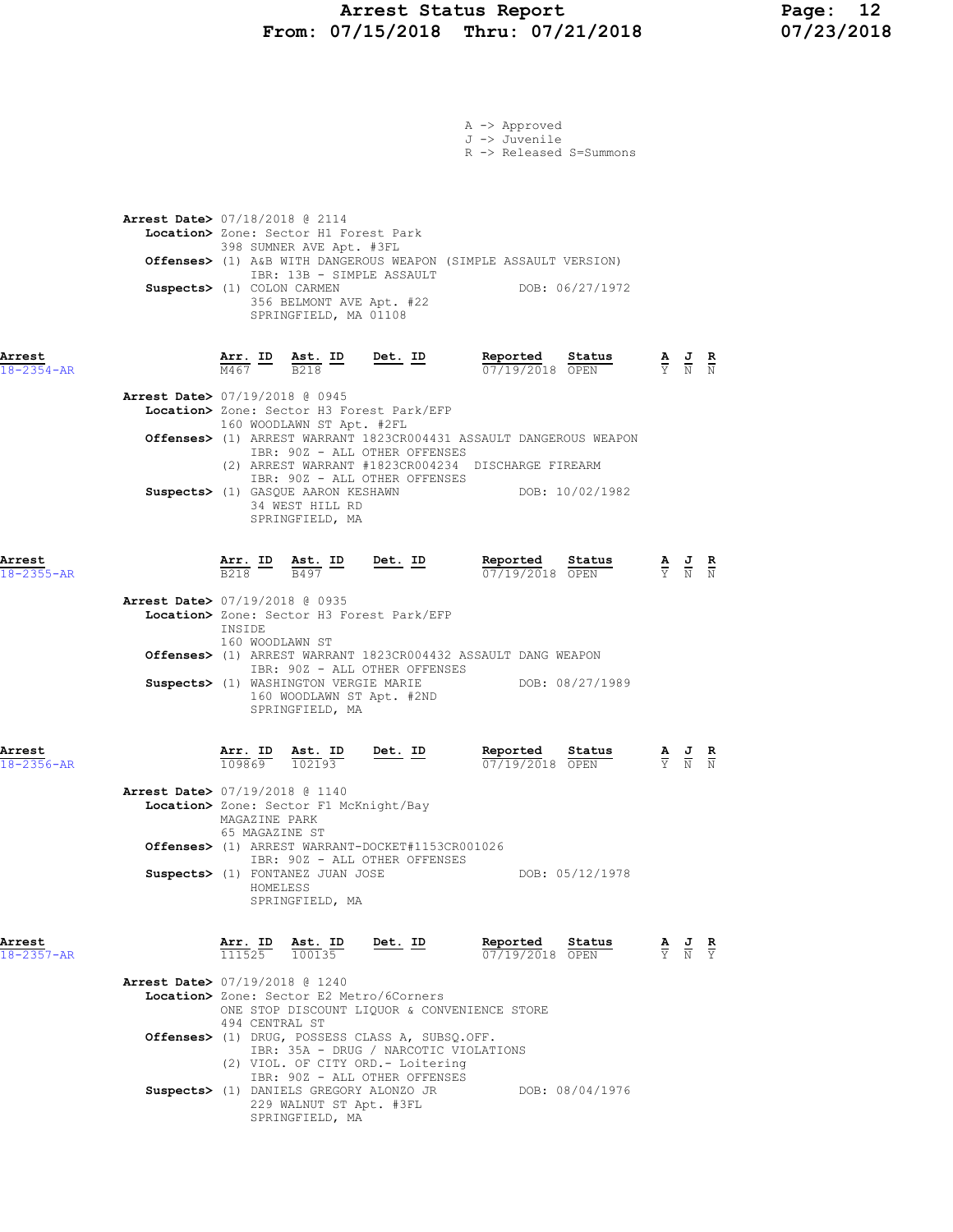### Arrest Status Report Page: 12 From: 07/15/2018 Thru: 07/21/2018 07/23/2018

|                            | A -> Approved<br>J -> Juvenile<br>R -> Released S=Summons                                                                                                                                                                                                                                                                                                                                             |                                                                                                 |                                                                                                 |
|----------------------------|-------------------------------------------------------------------------------------------------------------------------------------------------------------------------------------------------------------------------------------------------------------------------------------------------------------------------------------------------------------------------------------------------------|-------------------------------------------------------------------------------------------------|-------------------------------------------------------------------------------------------------|
|                            | <b>Arrest Date&gt; 07/18/2018 @ 2114</b><br>Location> Zone: Sector H1 Forest Park<br>398 SUMNER AVE Apt. #3FL<br>Offenses> (1) A&B WITH DANGEROUS WEAPON (SIMPLE ASSAULT VERSION)<br>IBR: 13B - SIMPLE ASSAULT<br>Suspects> (1) COLON CARMEN<br>DOB: 06/27/1972<br>356 BELMONT AVE Apt. #22<br>SPRINGFIELD, MA 01108                                                                                  |                                                                                                 |                                                                                                 |
| Arrest<br>$18 - 2354 - AR$ | $\frac{\texttt{Arr.}}{\text{M467}}$ ID $\frac{\texttt{Ast.}}{\text{B218}}$ ID Det. ID<br>Reported<br>Status<br>$\frac{\mathbf{A}}{\mathbf{Y}}$ $\frac{\mathbf{J}}{\mathbf{N}}$ $\frac{\mathbf{R}}{\mathbf{N}}$<br>07/19/2018 OPEN                                                                                                                                                                     |                                                                                                 |                                                                                                 |
|                            | Arrest Date> 07/19/2018 @ 0945<br>Location> Zone: Sector H3 Forest Park/EFP<br>160 WOODLAWN ST Apt. #2FL<br>Offenses> (1) ARREST WARRANT 1823CR004431 ASSAULT DANGEROUS WEAPON<br>IBR: 90Z - ALL OTHER OFFENSES<br>(2) ARREST WARRANT #1823CR004234 DISCHARGE FIREARM<br>IBR: 90Z - ALL OTHER OFFENSES<br>Suspects> (1) GASQUE AARON KESHAWN<br>DOB: 10/02/1982<br>34 WEST HILL RD<br>SPRINGFIELD, MA |                                                                                                 |                                                                                                 |
| Arrest<br>$18 - 2355 - AR$ | $Det. ID$<br>$\frac{\texttt{Arr.}}{\texttt{B218}}$ ID $\frac{\texttt{ Ast.}}{\texttt{B497}}$ ID<br>Reported<br>Status<br>07/19/2018 OPEN                                                                                                                                                                                                                                                              |                                                                                                 | $\frac{\mathbf{A}}{\mathbf{Y}}$ $\frac{\mathbf{J}}{\mathbf{N}}$ $\frac{\mathbf{R}}{\mathbf{N}}$ |
|                            | Arrest Date> 07/19/2018 @ 0935<br>Location> Zone: Sector H3 Forest Park/EFP<br>INSIDE<br>160 WOODLAWN ST<br>Offenses> (1) ARREST WARRANT 1823CR004432 ASSAULT DANG WEAPON<br>IBR: 90Z - ALL OTHER OFFENSES<br>Suspects> (1) WASHINGTON VERGIE MARIE<br>DOB: 08/27/1989<br>160 WOODLAWN ST Apt. #2ND<br>SPRINGFIELD, MA                                                                                |                                                                                                 |                                                                                                 |
| Arrest<br>18-2356-AR       | Det. ID<br>Reported<br>Arr. ID Ast. ID<br>Status<br>109869<br>102193<br>07/19/2018 OPEN                                                                                                                                                                                                                                                                                                               | $\frac{\mathbf{A}}{\mathbf{Y}}$ $\frac{\mathbf{J}}{\mathbf{N}}$ $\frac{\mathbf{R}}{\mathbf{N}}$ |                                                                                                 |
|                            | <b>Arrest Date&gt;</b> 07/19/2018 @ 1140<br>Location> Zone: Sector F1 McKnight/Bay<br>MAGAZINE PARK<br>65 MAGAZINE ST<br>Offenses> (1) ARREST WARRANT-DOCKET#1153CR001026<br>IBR: 90Z - ALL OTHER OFFENSES<br>Suspects> (1) FONTANEZ JUAN JOSE<br>DOB: 05/12/1978<br>HOMELESS<br>SPRINGFIELD, MA                                                                                                      |                                                                                                 |                                                                                                 |
| Arrest<br>$18 - 2357 - AR$ | Arr. ID<br>Reported<br>Status<br>Ast. ID<br><u>Det. ID</u><br>111525 100135<br>07/19/2018 OPEN                                                                                                                                                                                                                                                                                                        | $\frac{\mathbf{A}}{\mathbf{Y}}$ $\frac{\mathbf{J}}{\mathbf{N}}$ $\frac{\mathbf{R}}{\mathbf{Y}}$ |                                                                                                 |
|                            | <b>Arrest Date&gt; 07/19/2018 @ 1240</b><br>Location> Zone: Sector E2 Metro/6Corners<br>ONE STOP DISCOUNT LIQUOR & CONVENIENCE STORE<br>494 CENTRAL ST<br>Offenses> (1) DRUG, POSSESS CLASS A, SUBSQ.OFF.<br>IBR: 35A - DRUG / NARCOTIC VIOLATIONS<br>(2) VIOL. OF CITY ORD. - Loitering                                                                                                              |                                                                                                 |                                                                                                 |
|                            | IBR: 90Z - ALL OTHER OFFENSES<br>Suspects> (1) DANIELS GREGORY ALONZO JR<br>DOB: 08/04/1976<br>229 WALNUT ST Apt. #3FL<br>SPRINGFIELD, MA                                                                                                                                                                                                                                                             |                                                                                                 |                                                                                                 |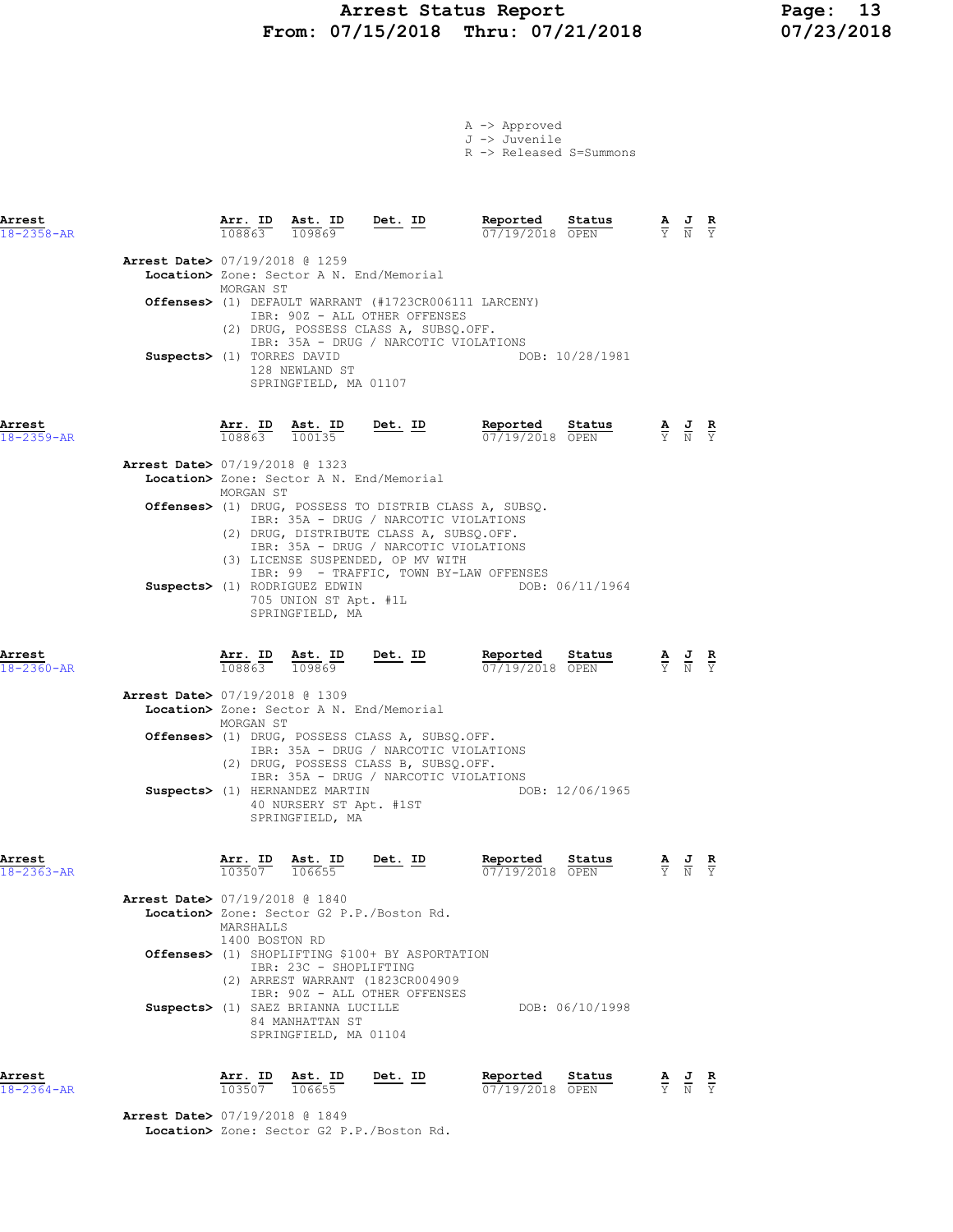#### Arrest Status Report Page: 13 From: 07/15/2018 Thru: 07/21/2018 07/23/2018

A -> Approved J -> Juvenile R -> Released S=Summons

Arrest Arr. ID Ast. ID Det. ID Reported Status A J R 18-2358-AR 108863 109869 07/19/2018 OPEN Y N Y Arrest Date> 07/19/2018 @ 1259 Location> Zone: Sector A N. End/Memorial MORGAN ST Offenses> (1) DEFAULT WARRANT (#1723CR006111 LARCENY) IBR: 90Z - ALL OTHER OFFENSES (2) DRUG, POSSESS CLASS A, SUBSQ.OFF. IBR: 35A - DRUG / NARCOTIC VIOLATIONS Suspects> (1) TORRES DAVID DOB: 10/28/1981 128 NEWLAND ST SPRINGFIELD, MA 01107

Arrest Arr. ID Ast. ID Det. ID Reported Status A J R 18-2359-AR 108863 100135 07/19/2018 OPEN Y N Y

| Arrest Date> 07/19/2018 @ 1323<br>Location> Zone: Sector A N. End/Memorial<br>MORGAN ST                                                                                                                                                                                                                    |
|------------------------------------------------------------------------------------------------------------------------------------------------------------------------------------------------------------------------------------------------------------------------------------------------------------|
| <b>Offenses&gt;</b> (1) DRUG, POSSESS TO DISTRIB CLASS A, SUBSO.                                                                                                                                                                                                                                           |
| IBR: 35A - DRUG / NARCOTIC VIOLATIONS<br>(2) DRUG, DISTRIBUTE CLASS A, SUBSO.OFF.<br>IBR: 35A - DRUG / NARCOTIC VIOLATIONS<br>(3) LICENSE SUSPENDED, OP MV WITH<br>IBR: 99 - TRAFFIC, TOWN BY-LAW OFFENSES<br>DOB: 06/11/1964<br>Suspects> (1) RODRIGUEZ EDWIN<br>705 UNION ST Apt. #1L<br>SPRINGFIELD, MA |

Arrest Arr. ID Ast. ID Det. ID Reported Status A J R

18-2360-AR 108863 109869 07/19/2018 OPEN Y N Y

| <b>Arrest Date&gt; 07/19/2018 @ 1309</b><br>Location> Zone: Sector A N. End/Memorial<br>MORGAN ST                                        |  |
|------------------------------------------------------------------------------------------------------------------------------------------|--|
| Offenses> (1) DRUG, POSSESS CLASS A, SUBSO.OFF.<br>IBR: 35A - DRUG / NARCOTIC VIOLATIONS<br>(2) DRUG, POSSESS CLASS B, SUBSO.OFF.        |  |
| IBR: 35A - DRUG / NARCOTIC VIOLATIONS<br>DOB: 12/06/1965<br>Suspects> (1) HERNANDEZ MARTIN<br>40 NURSERY ST Apt. #1ST<br>SPRINGFIELD, MA |  |

Arrest Arr. ID Ast. ID Det. ID Reported Status A J R

| 18-2363-AR |                                          | 103507         | 106655                                          | 07/19/2018 OPEN |                 | Y N Y |  |
|------------|------------------------------------------|----------------|-------------------------------------------------|-----------------|-----------------|-------|--|
|            | <b>Arrest Date&gt; 07/19/2018 @ 1840</b> |                |                                                 |                 |                 |       |  |
|            |                                          |                | Location> Zone: Sector G2 P.P./Boston Rd.       |                 |                 |       |  |
|            |                                          | MARSHALLS      |                                                 |                 |                 |       |  |
|            |                                          | 1400 BOSTON RD |                                                 |                 |                 |       |  |
|            |                                          |                | Offenses> (1) SHOPLIFTING \$100+ BY ASPORTATION |                 |                 |       |  |
|            |                                          |                | TBR: 23C - SHOPLIFTING                          |                 |                 |       |  |
|            |                                          |                | (2) ARREST WARRANT (1823CR004909                |                 |                 |       |  |
|            |                                          |                | IBR: 90Z - ALL OTHER OFFENSES                   |                 |                 |       |  |
|            |                                          |                | Suspects> (1) SAEZ BRIANNA LUCILLE              |                 | DOB: 06/10/1998 |       |  |
|            |                                          |                | 84 MANHATTAN ST                                 |                 |                 |       |  |
|            |                                          |                | SPRINGFIELD, MA 01104                           |                 |                 |       |  |
|            |                                          |                |                                                 |                 |                 |       |  |

Arrest Arr. ID Ast. ID Det. ID Reported Status A J R 18-2364-AR 103507 106655 07/19/2018 OPEN Y N Y

 Arrest Date> 07/19/2018 @ 1849 Location> Zone: Sector G2 P.P./Boston Rd.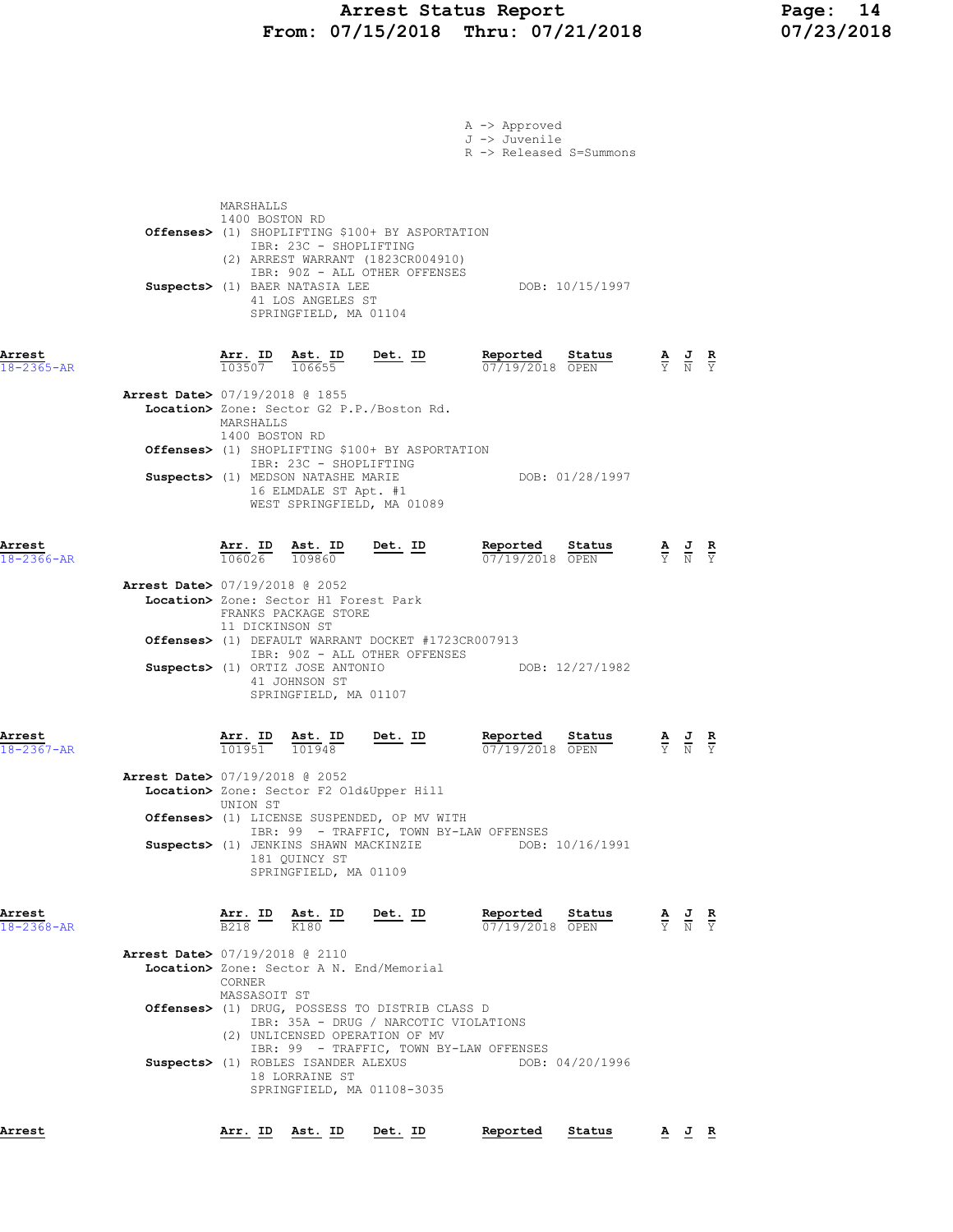### Arrest Status Report Page: 14 From: 07/15/2018 Thru: 07/21/2018 07/23/2018

|                            | A -> Approved<br>J -> Juvenile<br>R -> Released S=Summons                                                                                                                                                                                                                                                                      |                                                                                                       |
|----------------------------|--------------------------------------------------------------------------------------------------------------------------------------------------------------------------------------------------------------------------------------------------------------------------------------------------------------------------------|-------------------------------------------------------------------------------------------------------|
|                            | MARSHALLS<br>1400 BOSTON RD<br>Offenses> (1) SHOPLIFTING \$100+ BY ASPORTATION<br>IBR: 23C - SHOPLIFTING<br>(2) ARREST WARRANT (1823CR004910)<br>IBR: 90Z - ALL OTHER OFFENSES<br>Suspects> (1) BAER NATASIA LEE<br>DOB: 10/15/1997<br>41 LOS ANGELES ST<br>SPRINGFIELD, MA 01104                                              |                                                                                                       |
| Arrest<br>$18 - 2365 - AR$ | $\frac{\texttt{Arr.}}{103507}$ $\frac{\texttt{ Ast.}}{106655}$<br>Reported Status<br><u>Det. ID</u><br>07/19/2018 OPEN<br><b>Arrest Date&gt; 07/19/2018 @ 1855</b><br>Location> Zone: Sector G2 P.P./Boston Rd.                                                                                                                | $\frac{\mathbf{A}}{\mathbf{Y}}$ $\frac{\mathbf{J}}{\mathbf{N}}$ $\frac{\mathbf{R}}{\mathbf{Y}}$       |
|                            | MARSHALLS<br>1400 BOSTON RD<br>Offenses> (1) SHOPLIFTING \$100+ BY ASPORTATION<br>IBR: 23C - SHOPLIFTING<br>Suspects> (1) MEDSON NATASHE MARIE<br>DOB: 01/28/1997<br>16 ELMDALE ST Apt. #1<br>WEST SPRINGFIELD, MA 01089                                                                                                       |                                                                                                       |
| Arrest<br>$18 - 2366 - AR$ | Reported<br>Arr. ID<br>$Det. ID$<br>Status<br><u>Ast. ID</u><br>106026<br>07/19/2018 OPEN<br>109860                                                                                                                                                                                                                            | $\frac{\mathbf{A}}{\mathbf{Y}}$ $\frac{\mathbf{J}}{\mathbf{N}}$ $\frac{\mathbf{R}}{\mathbf{Y}}$       |
|                            | <b>Arrest Date&gt; 07/19/2018 @ 2052</b><br>Location> Zone: Sector H1 Forest Park<br>FRANKS PACKAGE STORE<br>11 DICKINSON ST<br><b>Offenses&gt;</b> (1) DEFAULT WARRANT DOCKET #1723CR007913<br>IBR: 90Z - ALL OTHER OFFENSES<br>DOB: 12/27/1982<br>Suspects> (1) ORTIZ JOSE ANTONIO<br>41 JOHNSON ST<br>SPRINGFIELD, MA 01107 |                                                                                                       |
| Arrest<br>$18 - 2367 - AR$ | Det. ID<br>Reported<br>Arr. ID<br>Ast. ID<br>Status<br>101951<br>101948<br>07/19/2018 OPEN<br>Arrest Date> 07/19/2018 @ 2052                                                                                                                                                                                                   | $\frac{\mathbf{A}}{\overline{Y}}$ $\frac{\mathbf{J}}{\overline{N}}$ $\frac{\mathbf{R}}{\overline{Y}}$ |
|                            | Location> Zone: Sector F2 Old&Upper Hill<br>UNION ST<br>Offenses> (1) LICENSE SUSPENDED, OP MV WITH<br>IBR: 99 - TRAFFIC, TOWN BY-LAW OFFENSES<br>Suspects> (1) JENKINS SHAWN MACKINZIE<br>DOB: 10/16/1991<br>181 OUINCY ST<br>SPRINGFIELD, MA 01109                                                                           |                                                                                                       |
| Arrest<br>$18 - 2368 - AR$ | $Det. ID$<br>Reported<br>$\frac{\texttt{Arr.}}{\texttt{B218}}$ $\frac{\texttt{lb}}{\texttt{K180}}$ $\frac{\texttt{Ast.}}{\texttt{K180}}$<br>Status<br>07/19/2018 OPEN                                                                                                                                                          | $\frac{\mathbf{A}}{\mathbf{Y}}$ $\frac{\mathbf{J}}{\mathbf{N}}$ $\frac{\mathbf{R}}{\mathbf{Y}}$       |
|                            | Arrest Date> 07/19/2018 @ 2110<br>Location> Zone: Sector A N. End/Memorial<br>CORNER<br>MASSASOIT ST<br>Offenses> (1) DRUG, POSSESS TO DISTRIB CLASS D                                                                                                                                                                         |                                                                                                       |
|                            | IBR: 35A - DRUG / NARCOTIC VIOLATIONS<br>(2) UNLICENSED OPERATION OF MV<br>IBR: 99 - TRAFFIC, TOWN BY-LAW OFFENSES<br>Suspects> (1) ROBLES ISANDER ALEXUS<br>DOB: 04/20/1996<br>18 LORRAINE ST<br>SPRINGFIELD, MA 01108-3035                                                                                                   |                                                                                                       |
| Arrest                     | Arr. ID Ast. ID Det. ID<br>Reported<br>Status                                                                                                                                                                                                                                                                                  | AJR                                                                                                   |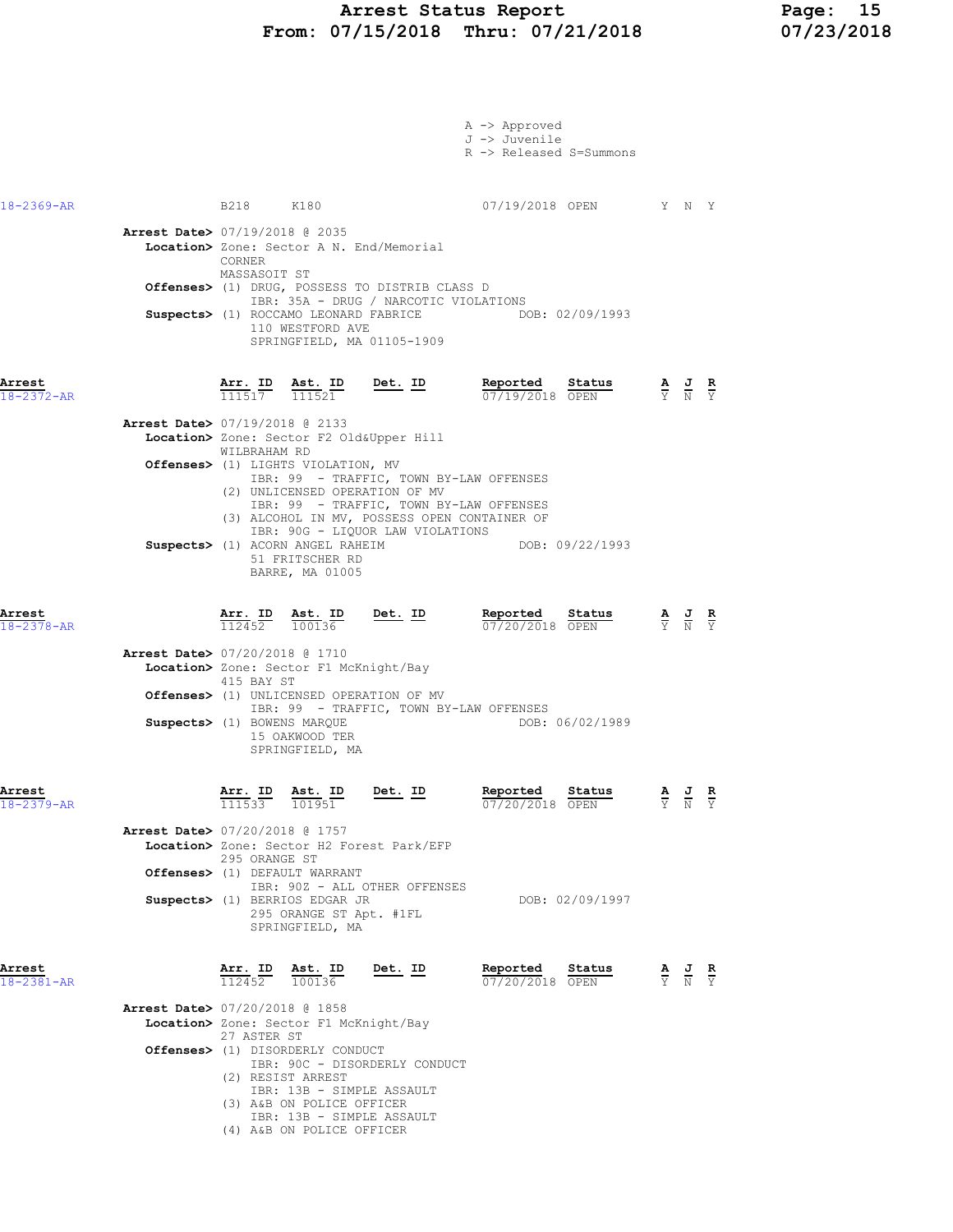### Arrest Status Report Page: 15 From: 07/15/2018 Thru: 07/21/2018 07/23/2018

|                                                                 |                                           |                                                                                                                                                                                                          |                                                                                                                                                                                                                                                      | A -> Approved<br>J -> Juvenile<br>R -> Released S=Summons |                       |                                                                                                 |  |
|-----------------------------------------------------------------|-------------------------------------------|----------------------------------------------------------------------------------------------------------------------------------------------------------------------------------------------------------|------------------------------------------------------------------------------------------------------------------------------------------------------------------------------------------------------------------------------------------------------|-----------------------------------------------------------|-----------------------|-------------------------------------------------------------------------------------------------|--|
| 18-2369-AR                                                      | B218 K180                                 |                                                                                                                                                                                                          |                                                                                                                                                                                                                                                      |                                                           | 07/19/2018 OPEN Y N Y |                                                                                                 |  |
| Arrest Date> 07/19/2018 @ 2035                                  | CORNER<br>MASSASOIT ST                    | Suspects> (1) ROCCAMO LEONARD FABRICE<br>110 WESTFORD AVE                                                                                                                                                | Location> Zone: Sector A N. End/Memorial<br>Offenses> (1) DRUG, POSSESS TO DISTRIB CLASS D<br>IBR: 35A - DRUG / NARCOTIC VIOLATIONS<br>SPRINGFIELD, MA 01105-1909                                                                                    |                                                           | DOB: 02/09/1993       |                                                                                                 |  |
| Arrest<br>$18 - 2372 - AR$                                      |                                           |                                                                                                                                                                                                          | $\frac{\texttt{Arr. ID}}{111517}$ $\frac{\texttt{Ast. ID}}{111521}$ Det. ID                                                                                                                                                                          | Reported<br>07/19/2018 OPEN                               | <u>Status</u>         | $\frac{\mathbf{A}}{\mathbf{Y}}$ $\frac{\mathbf{J}}{\mathbf{N}}$ $\frac{\mathbf{R}}{\mathbf{Y}}$ |  |
| <b>Arrest Date&gt; 07/19/2018 @ 2133</b>                        | WILBRAHAM RD                              | Offenses> (1) LIGHTS VIOLATION, MV<br>Suspects> (1) ACORN ANGEL RAHEIM<br>51 FRITSCHER RD<br>BARRE, MA 01005                                                                                             | Location> Zone: Sector F2 Old&Upper Hill<br>IBR: 99 - TRAFFIC, TOWN BY-LAW OFFENSES<br>(2) UNLICENSED OPERATION OF MV<br>IBR: 99 - TRAFFIC, TOWN BY-LAW OFFENSES<br>(3) ALCOHOL IN MV, POSSESS OPEN CONTAINER OF<br>IBR: 90G - LIQUOR LAW VIOLATIONS |                                                           | DOB: 09/22/1993       |                                                                                                 |  |
| Arrest<br>18-2378-AR                                            | <u>Arr.</u> ID<br>112452                  | <u>Ast. ID</u><br>100136                                                                                                                                                                                 | <u>Det. ID</u>                                                                                                                                                                                                                                       | <u>Reported</u><br>07/20/2018 OPEN                        | Status                | $\frac{\mathbf{A}}{\mathbf{Y}}$ $\frac{\mathbf{J}}{\mathbf{N}}$ $\frac{\mathbf{R}}{\mathbf{Y}}$ |  |
| <b>Arrest Date&gt;</b> 07/20/2018 @ 1710                        | 415 BAY ST<br>Suspects> (1) BOWENS MARQUE | Location> Zone: Sector F1 McKnight/Bay<br>15 OAKWOOD TER<br>SPRINGFIELD, MA                                                                                                                              | Offenses> (1) UNLICENSED OPERATION OF MV<br>IBR: 99 - TRAFFIC, TOWN BY-LAW OFFENSES                                                                                                                                                                  |                                                           | DOB: 06/02/1989       |                                                                                                 |  |
| Arrest<br>$18 - 2379 - AR$                                      | Arr. ID<br>$11\overline{15}3\overline{3}$ | Ast. ID<br>101951                                                                                                                                                                                        | Det. ID                                                                                                                                                                                                                                              | Reported<br>07/20/2018 OPEN                               | Status                | AJR<br>$\overline{Y}$ $\overline{N}$ $\overline{Y}$                                             |  |
| Arrest Date> 07/20/2018 @ 1757<br>Offenses> (1) DEFAULT WARRANT | 295 ORANGE ST                             | Suspects> (1) BERRIOS EDGAR JR<br>295 ORANGE ST Apt. #1FL<br>SPRINGFIELD, MA                                                                                                                             | Location> Zone: Sector H2 Forest Park/EFP<br>IBR: 90Z - ALL OTHER OFFENSES                                                                                                                                                                           |                                                           | DOB: 02/09/1997       |                                                                                                 |  |
| Arrest<br>$18 - 2381 - AR$                                      | Arr. ID<br>112452                         | Ast. ID<br>100136                                                                                                                                                                                        | Det. ID                                                                                                                                                                                                                                              | Reported<br>07/20/2018 OPEN                               | Status                | $\frac{\mathbf{A}}{\mathbf{Y}}$ $\frac{\mathbf{J}}{\mathbf{N}}$ $\frac{\mathbf{R}}{\mathbf{Y}}$ |  |
| <b>Arrest Date&gt; 07/20/2018 @ 1858</b>                        | 27 ASTER ST<br>(2) RESIST ARREST          | Location> Zone: Sector F1 McKnight/Bay<br><b>Offenses&gt;</b> (1) DISORDERLY CONDUCT<br>IBR: 13B - SIMPLE ASSAULT<br>(3) A&B ON POLICE OFFICER<br>IBR: 13B - SIMPLE ASSAULT<br>(4) A&B ON POLICE OFFICER | IBR: 90C - DISORDERLY CONDUCT                                                                                                                                                                                                                        |                                                           |                       |                                                                                                 |  |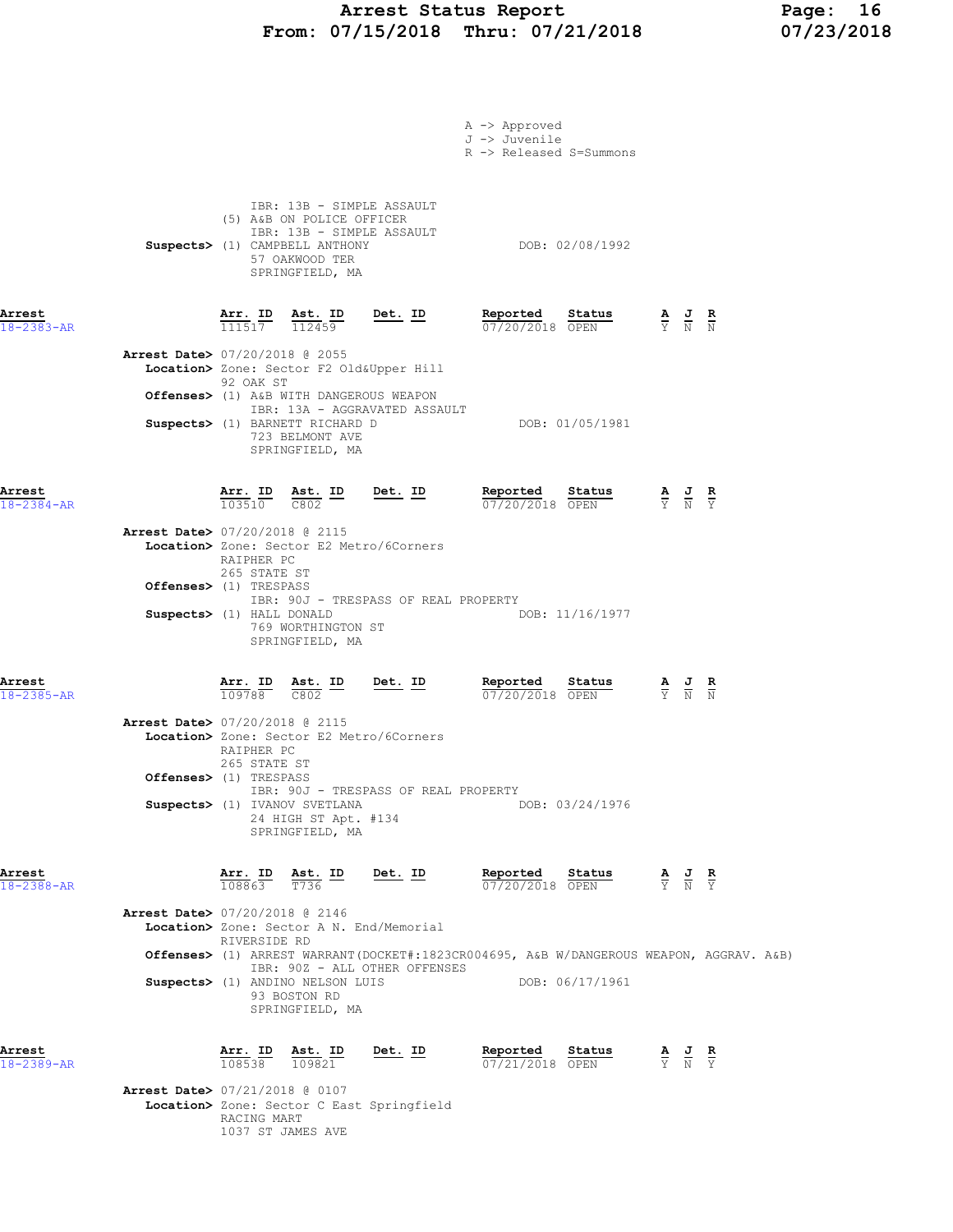### Arrest Status Report Page: 16 From: 07/15/2018 Thru: 07/21/2018 07/23/2018

|                                                          |                                                                           |                                                                                                                                                            |                                           | A -> Approved<br>J -> Juvenile<br>R -> Released S=Summons                               |                                      |                                                                                                 |                                                                                                 |                               |  |
|----------------------------------------------------------|---------------------------------------------------------------------------|------------------------------------------------------------------------------------------------------------------------------------------------------------|-------------------------------------------|-----------------------------------------------------------------------------------------|--------------------------------------|-------------------------------------------------------------------------------------------------|-------------------------------------------------------------------------------------------------|-------------------------------|--|
|                                                          |                                                                           | IBR: 13B - SIMPLE ASSAULT<br>(5) A&B ON POLICE OFFICER<br>IBR: 13B - SIMPLE ASSAULT<br>Suspects> (1) CAMPBELL ANTHONY<br>57 OAKWOOD TER<br>SPRINGFIELD, MA |                                           |                                                                                         | DOB: 02/08/1992                      |                                                                                                 |                                                                                                 |                               |  |
| Arrest<br>$18 - 2383 - AR$                               |                                                                           | $\frac{\texttt{Arr.}}{111517}$ $\frac{\texttt{Ab.}}{112459}$                                                                                               | Det. ID                                   | Reported Status<br>07/20/2018 OPEN                                                      |                                      | $\frac{\mathbf{A}}{\mathbf{Y}}$ $\frac{\mathbf{J}}{\mathbf{N}}$ $\frac{\mathbf{R}}{\mathbf{N}}$ |                                                                                                 |                               |  |
| <b>Arrest Date&gt; 07/20/2018 @ 2055</b>                 | 92 OAK ST                                                                 | Location> Zone: Sector F2 Old&Upper Hill                                                                                                                   |                                           |                                                                                         |                                      |                                                                                                 |                                                                                                 |                               |  |
|                                                          |                                                                           | Offenses> (1) A&B WITH DANGEROUS WEAPON<br>Suspects> (1) BARNETT RICHARD D<br>723 BELMONT AVE<br>SPRINGFIELD, MA                                           | IBR: 13A - AGGRAVATED ASSAULT             |                                                                                         | DOB: 01/05/1981                      |                                                                                                 |                                                                                                 |                               |  |
| Arrest<br>$18 - 2384 - AR$                               | <b>Arr. ID</b><br>103510                                                  | $\frac{\text{Ast.}}{\text{C802}}$ ID                                                                                                                       | Det. ID                                   | Reported Status $\frac{07}{20/2018}$                                                    | <u>Status</u>                        |                                                                                                 | $\frac{\mathbf{A}}{\mathbf{Y}}$ $\frac{\mathbf{J}}{\mathbf{N}}$                                 | $rac{\mathbf{R}}{\mathbf{Y}}$ |  |
| Arrest Date> 07/20/2018 @ 2115                           | RAIPHER PC<br>265 STATE ST                                                | Location> Zone: Sector E2 Metro/6Corners                                                                                                                   |                                           |                                                                                         |                                      |                                                                                                 |                                                                                                 |                               |  |
| Offenses> (1) TRESPASS<br>Suspects> (1) HALL DONALD      |                                                                           | 769 WORTHINGTON ST<br>SPRINGFIELD, MA                                                                                                                      | IBR: 90J - TRESPASS OF REAL PROPERTY      |                                                                                         | DOB: 11/16/1977                      |                                                                                                 |                                                                                                 |                               |  |
| Arrest<br>18-2385-AR                                     | $\frac{\text{Arr.}}{109788}$                                              | $\frac{\text{Ast.}}{\cos \theta}$ ID<br>C802                                                                                                               | Det. ID                                   | Reported<br>07/20/2018 OPEN                                                             | <u>Status</u>                        |                                                                                                 | $\frac{\mathbf{A}}{\mathbf{Y}}$ $\frac{\mathbf{J}}{\mathbf{N}}$ $\frac{\mathbf{R}}{\mathbf{N}}$ |                               |  |
| Arrest Date> 07/20/2018 @ 2115<br>Offenses> (1) TRESPASS | RAIPHER PC<br>265 STATE ST                                                | Location> Zone: Sector E2 Metro/6Corners                                                                                                                   |                                           |                                                                                         |                                      |                                                                                                 |                                                                                                 |                               |  |
|                                                          |                                                                           | Suspects> (1) IVANOV SVETLANA<br>24 HIGH ST Apt. #134<br>SPRINGFIELD, MA                                                                                   | IBR: 90J - TRESPASS OF REAL PROPERTY      |                                                                                         | DOB: 03/24/1976                      |                                                                                                 |                                                                                                 |                               |  |
| Arrest<br>$18 - 2388 - AR$                               | $\frac{\texttt{Arr.}}{108863}$ $\frac{\texttt{ Ast.}}{T736}$ ID<br>108863 |                                                                                                                                                            | Det. ID                                   | Reported<br>$07/20/2018$ OPEN                                                           | Status                               | $\frac{\mathbf{A}}{\mathbf{Y}}$ $\frac{\mathbf{J}}{\mathbf{N}}$ $\frac{\mathbf{R}}{\mathbf{Y}}$ |                                                                                                 |                               |  |
| <b>Arrest Date&gt; 07/20/2018 @ 2146</b>                 | RIVERSIDE RD                                                              | Location> Zone: Sector A N. End/Memorial                                                                                                                   |                                           |                                                                                         |                                      |                                                                                                 |                                                                                                 |                               |  |
|                                                          |                                                                           | Suspects> (1) ANDINO NELSON LUIS<br>93 BOSTON RD<br>SPRINGFIELD, MA                                                                                        | IBR: 90Z - ALL OTHER OFFENSES             | Offenses> (1) ARREST WARRANT(DOCKET#:1823CR004695, A&B W/DANGEROUS WEAPON, AGGRAV. A&B) | DOB: 06/17/1961                      |                                                                                                 |                                                                                                 |                               |  |
| Arrest<br>18-2389-AR                                     |                                                                           | $\frac{\texttt{Arr. ID}}{108538}$ $\frac{\texttt{ Ast. ID}}{109821}$                                                                                       | <u>Det. ID</u>                            | <u>Reported</u><br>07/21/2018 OPEN                                                      | $\frac{\text{Status}}{\text{start}}$ | $\frac{\mathbf{A}}{\mathbf{Y}}$ $\frac{\mathbf{J}}{\mathbf{N}}$ $\frac{\mathbf{R}}{\mathbf{Y}}$ |                                                                                                 |                               |  |
| Arrest Date> 07/21/2018 @ 0107                           | RACING MART                                                               |                                                                                                                                                            | Location> Zone: Sector C East Springfield |                                                                                         |                                      |                                                                                                 |                                                                                                 |                               |  |

1037 ST JAMES AVE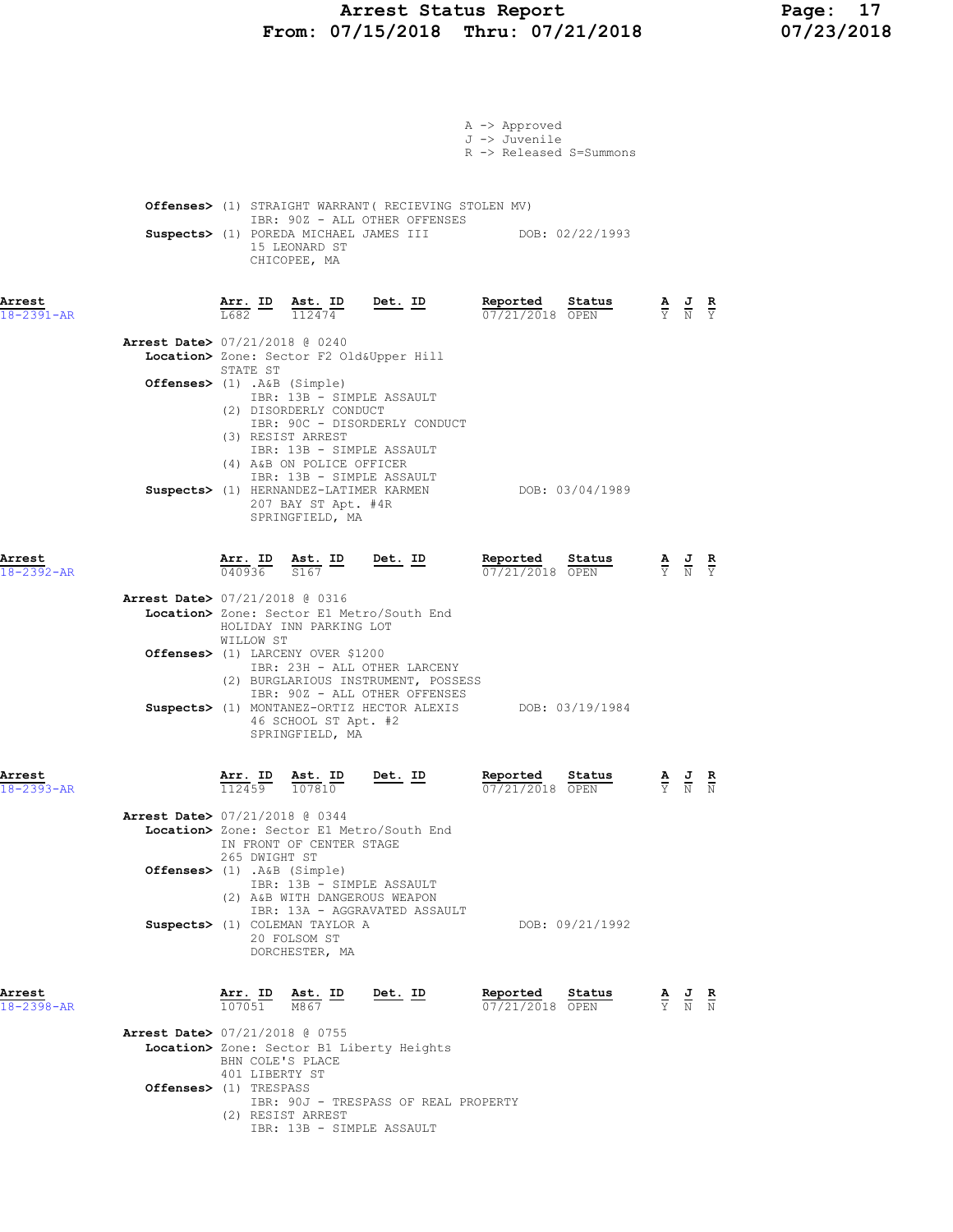# Arrest Status Report Page: 17<br>07/15/2018 Thru: 07/21/2018 07/23/2018 From: 07/15/2018 Thru: 07/21/2018

|                            |                                                                                                                                                                                                                                                                                                                                          | A -> Approved<br>J -> Juvenile<br>R -> Released S=Summons |                                                                                                 |
|----------------------------|------------------------------------------------------------------------------------------------------------------------------------------------------------------------------------------------------------------------------------------------------------------------------------------------------------------------------------------|-----------------------------------------------------------|-------------------------------------------------------------------------------------------------|
|                            | <b>Offenses&gt;</b> (1) STRAIGHT WARRANT ( RECIEVING STOLEN MV)<br>IBR: 90Z - ALL OTHER OFFENSES<br>Suspects> (1) POREDA MICHAEL JAMES III DOB: 02/22/1993<br>15 LEONARD ST<br>CHICOPEE, MA                                                                                                                                              |                                                           |                                                                                                 |
| Arrest<br>18-2391-AR       | <u>Det. ID</u><br>$\frac{\text{Arr.}}{\text{L682}}$ ID $\frac{\text{Ast.}}{112474}$                                                                                                                                                                                                                                                      | Reported<br>Status<br>$07/21/2018$ OPEN                   | $\frac{\mathbf{A}}{\mathbf{Y}}$ $\frac{\mathbf{J}}{\mathbf{N}}$ $\frac{\mathbf{R}}{\mathbf{Y}}$ |
|                            | <b>Arrest Date&gt; 07/21/2018 @ 0240</b><br>Location> Zone: Sector F2 Old&Upper Hill<br>STATE ST<br>Offenses> (1) .A&B (Simple)<br>IBR: 13B - SIMPLE ASSAULT<br>(2) DISORDERLY CONDUCT<br>IBR: 90C - DISORDERLY CONDUCT<br>(3) RESIST ARREST                                                                                             |                                                           |                                                                                                 |
|                            | IBR: 13B - SIMPLE ASSAULT<br>(4) A&B ON POLICE OFFICER<br>IBR: 13B - SIMPLE ASSAULT<br>Suspects> (1) HERNANDEZ-LATIMER KARMEN<br>207 BAY ST Apt. #4R<br>SPRINGFIELD, MA                                                                                                                                                                  | DOB: 03/04/1989                                           |                                                                                                 |
| Arrest<br>18-2392-AR       | $\frac{\texttt{Arr. ID}}{040936}$ $\frac{\texttt{ Ast. ID}}{S167}$ Det. ID                                                                                                                                                                                                                                                               | Reported Status<br>07/21/2018 OPEN                        | $\frac{\mathbf{A}}{\mathbf{Y}}$ $\frac{\mathbf{J}}{\mathbf{N}}$ $\frac{\mathbf{R}}{\mathbf{Y}}$ |
|                            | <b>Arrest Date&gt; 07/21/2018 @ 0316</b><br>Location> Zone: Sector E1 Metro/South End<br>HOLIDAY INN PARKING LOT<br>WILLOW ST<br>Offenses> (1) LARCENY OVER \$1200<br>IBR: 23H - ALL OTHER LARCENY<br>(2) BURGLARIOUS INSTRUMENT, POSSESS<br>IBR: 90Z - ALL OTHER OFFENSES<br>Suspects> (1) MONTANEZ-ORTIZ HECTOR ALEXIS DOB: 03/19/1984 |                                                           |                                                                                                 |
| Arrest                     | 46 SCHOOL ST Apt. #2<br>SPRINGFIELD, MA<br>Ast. ID<br>$Det. ID$<br>Arr. ID                                                                                                                                                                                                                                                               | Reported<br>Status                                        | A J R                                                                                           |
| 18-2393-AR                 | $\overline{112459}$ $\overline{107810}$<br>Arrest Date> 07/21/2018 @ 0344<br>Location> Zone: Sector E1 Metro/South End<br>IN FRONT OF CENTER STAGE<br>265 DWIGHT ST<br>Offenses> (1) .A&B (Simple)<br>IBR: 13B - SIMPLE ASSAULT<br>(2) A&B WITH DANGEROUS WEAPON                                                                         | 07/21/2018 OPEN                                           | N<br>Y N                                                                                        |
|                            | IBR: 13A - AGGRAVATED ASSAULT<br>Suspects> (1) COLEMAN TAYLOR A<br>20 FOLSOM ST<br>DORCHESTER, MA                                                                                                                                                                                                                                        | DOB: 09/21/1992                                           |                                                                                                 |
| Arrest<br>$18 - 2398 - AR$ | $\frac{\texttt{Arr.}}{107051}$ $\frac{\texttt{ Ast.}}{M867}$ $\frac{\texttt{ID}}{M}$<br><u>Det. ID</u>                                                                                                                                                                                                                                   | Reported<br>Status<br>07/21/2018 OPEN                     | $\frac{\mathbf{A}}{\mathbf{Y}}$ $\frac{\mathbf{J}}{\mathbf{N}}$ $\frac{\mathbf{R}}{\mathbf{N}}$ |
|                            | <b>Arrest Date&gt; 07/21/2018 @ 0755</b><br>Location> Zone: Sector B1 Liberty Heights<br>BHN COLE'S PLACE<br>401 LIBERTY ST                                                                                                                                                                                                              |                                                           |                                                                                                 |
|                            | Offenses> (1) TRESPASS<br>IBR: 90J - TRESPASS OF REAL PROPERTY<br>(2) RESIST ARREST<br>IBR: 13B - SIMPLE ASSAULT                                                                                                                                                                                                                         |                                                           |                                                                                                 |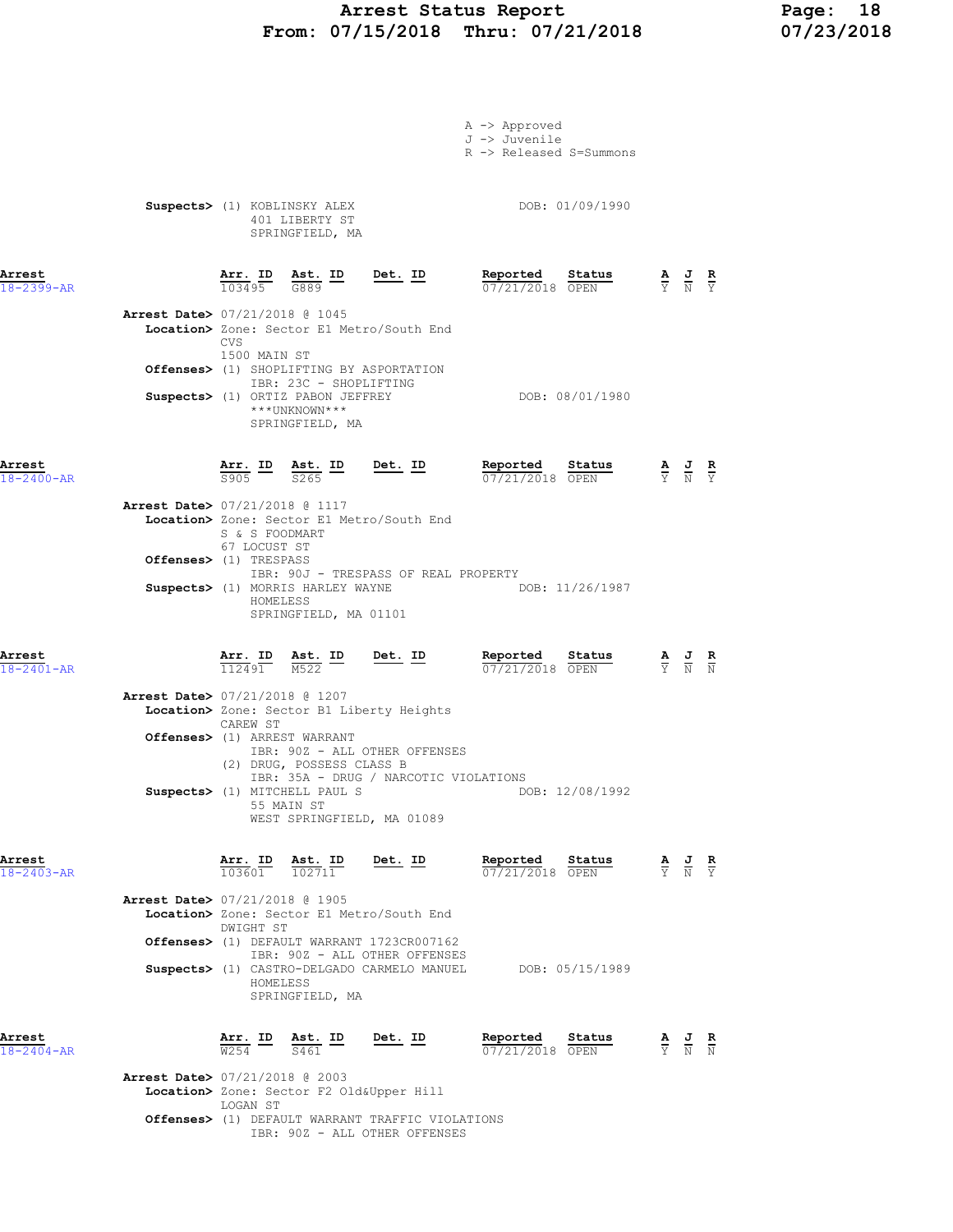# Arrest Status Report 18<br>17/15/2018 Thru: 07/21/2018 17/23/2018 From: 07/15/2018 Thru: 07/21/2018

|                            |                                                                                                                    |                | A -> Approved<br>J -> Juvenile<br>R -> Released S=Summons                         |                                                                                                 |                                                                                                 |  |
|----------------------------|--------------------------------------------------------------------------------------------------------------------|----------------|-----------------------------------------------------------------------------------|-------------------------------------------------------------------------------------------------|-------------------------------------------------------------------------------------------------|--|
|                            | Suspects> (1) KOBLINSKY ALEX<br>401 LIBERTY ST<br>SPRINGFIELD, MA                                                  |                | DOB: 01/09/1990                                                                   |                                                                                                 |                                                                                                 |  |
| Arrest<br>$18 - 2399 - AR$ | $\frac{\texttt{Arr.}}{103495}$ $\frac{\texttt{Ab.}}{G889}$ $\frac{\texttt{ID}}{G889}$                              | Det. ID        | Reported Status<br>07/21/2018 OPEN                                                | $\frac{\mathbf{A}}{\mathbf{Y}}$ $\frac{\mathbf{J}}{\mathbf{N}}$ $\frac{\mathbf{R}}{\mathbf{Y}}$ |                                                                                                 |  |
|                            | Arrest Date> 07/21/2018 @ 1045<br>Location> Zone: Sector E1 Metro/South End<br><b>CVS</b>                          |                |                                                                                   |                                                                                                 |                                                                                                 |  |
|                            | 1500 MAIN ST<br><b>Offenses&gt;</b> (1) SHOPLIFTING BY ASPORTATION<br>IBR: 23C - SHOPLIFTING                       |                | DOB: 08/01/1980                                                                   |                                                                                                 |                                                                                                 |  |
|                            | Suspects> (1) ORTIZ PABON JEFFREY<br>***UNKNOWN***<br>SPRINGFIELD, MA                                              |                |                                                                                   |                                                                                                 |                                                                                                 |  |
| Arrest<br>$18 - 2400 - AR$ | $\frac{\texttt{Arr.}}{\texttt{S905}}$ ID $\frac{\texttt{ Ast.}}{\texttt{S265}}$ ID Det. ID                         |                | Reported Status<br>07/21/2018 OPEN                                                |                                                                                                 | $\frac{\mathbf{A}}{\mathbf{Y}}$ $\frac{\mathbf{J}}{\mathbf{N}}$ $\frac{\mathbf{R}}{\mathbf{Y}}$ |  |
|                            | Arrest Date> 07/21/2018 @ 1117<br>Location> Zone: Sector E1 Metro/South End<br>S & S FOODMART<br>67 LOCUST ST      |                |                                                                                   |                                                                                                 |                                                                                                 |  |
|                            | <b>Offenses&gt;</b> (1) TRESPASS<br>IBR: 90J - TRESPASS OF REAL PROPERTY<br>Suspects> (1) MORRIS HARLEY WAYNE      |                | DOB: 11/26/1987                                                                   |                                                                                                 |                                                                                                 |  |
|                            | HOMELESS<br>SPRINGFIELD, MA 01101                                                                                  |                |                                                                                   |                                                                                                 |                                                                                                 |  |
| Arrest<br>18-2401-AR       | $\frac{\texttt{Arr. ID}}{112491}$ $\frac{\texttt{ Ast. ID}}{M522}$ Det. ID                                         |                | Reported Status<br>$07/21/2018$ OPEN                                              |                                                                                                 | $\frac{\mathbf{A}}{\mathbf{Y}}$ $\frac{\mathbf{J}}{\mathbf{N}}$ $\frac{\mathbf{R}}{\mathbf{N}}$ |  |
|                            | Arrest Date> 07/21/2018 @ 1207<br>Location> Zone: Sector B1 Liberty Heights<br>CAREW ST                            |                |                                                                                   |                                                                                                 |                                                                                                 |  |
|                            | Offenses> (1) ARREST WARRANT<br>IBR: 90Z - ALL OTHER OFFENSES<br>(2) DRUG, POSSESS CLASS B                         |                |                                                                                   |                                                                                                 |                                                                                                 |  |
|                            | IBR: 35A - DRUG / NARCOTIC VIOLATIONS<br>Suspects> (1) MITCHELL PAUL S<br>55 MAIN ST<br>WEST SPRINGFIELD, MA 01089 |                | DOB: 12/08/1992                                                                   |                                                                                                 |                                                                                                 |  |
| Arrest<br>$18 - 2403 - AR$ | $\frac{\texttt{Arr.}}{103601}$ $\frac{\texttt{ Ast.}}{102711}$                                                     | <u>Det.</u> ID | <b>Reported Status A J R</b> 07/21/2018 OPEN $\frac{1}{Y}$ <b>N</b> $\frac{1}{Y}$ |                                                                                                 |                                                                                                 |  |
|                            | Arrest Date> 07/21/2018 @ 1905<br>Location> Zone: Sector E1 Metro/South End<br>DWIGHT ST                           |                |                                                                                   |                                                                                                 |                                                                                                 |  |
|                            | Offenses> (1) DEFAULT WARRANT 1723CR007162<br>IBR: 90Z - ALL OTHER OFFENSES                                        |                | Suspects> (1) CASTRO-DELGADO CARMELO MANUEL DOB: 05/15/1989                       |                                                                                                 |                                                                                                 |  |
|                            | HOMELESS<br>SPRINGFIELD, MA                                                                                        |                |                                                                                   |                                                                                                 |                                                                                                 |  |
| Arrest<br>$18 - 2404 - AR$ | Arr. ID<br><u>Ast. ID</u><br>$\overline{W254}$ –<br>S461                                                           | Det. ID        | Reported Status<br>07/21/2018 OPEN                                                |                                                                                                 | $\frac{\mathbf{A}}{\mathbf{Y}}$ $\frac{\mathbf{J}}{\mathbf{N}}$ $\frac{\mathbf{R}}{\mathbf{N}}$ |  |

Arrest Date> 07/21/2018 @ 2003 Location> Zone: Sector F2 Old&Upper Hill LOGAN ST Offenses> (1) DEFAULT WARRANT TRAFFIC VIOLATIONS IBR: 90Z - ALL OTHER OFFENSES